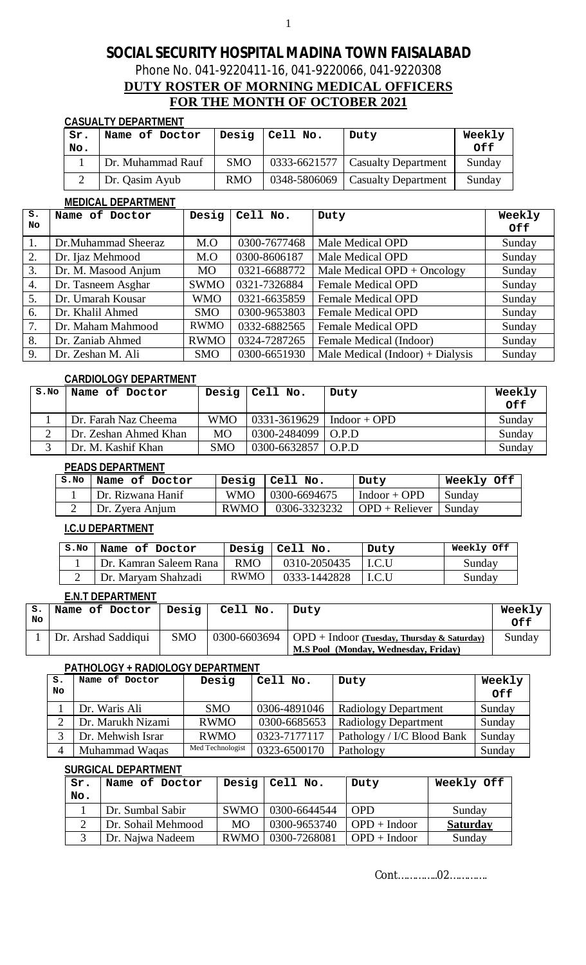1

### Phone No. 041-9220411-16, 041-9220066, 041-9220308

### **DUTY ROSTER OF MORNING MEDICAL OFFICERS FOR THE MONTH OF OCTOBER 2021**

#### **CASUALTY DEPARTMENT**

| Sr.<br>No. | Name of Doctor    | Desig      | Cell No. | Duty                               | Weekly<br>0f f |
|------------|-------------------|------------|----------|------------------------------------|----------------|
|            | Dr. Muhammad Rauf | <b>SMO</b> |          | $0333-6621577$ Casualty Department | Sunday         |
|            | Dr. Qasim Ayub    | <b>RMO</b> |          | 0348-5806069   Casualty Department | Sunday         |

#### **MEDICAL DEPARTMENT**

| $s$ . | Name of Doctor      | Desig       | Cell No.     | Duty                             | Weekly     |
|-------|---------------------|-------------|--------------|----------------------------------|------------|
| No    |                     |             |              |                                  | <b>Off</b> |
| 1.    | Dr.Muhammad Sheeraz | M.O         | 0300-7677468 | Male Medical OPD                 | Sunday     |
| 2.    | Dr. Ijaz Mehmood    | M.O         | 0300-8606187 | Male Medical OPD                 | Sunday     |
| 3.    | Dr. M. Masood Anjum | <b>MO</b>   | 0321-6688772 | Male Medical $OPD + Oncology$    | Sunday     |
| 4.    | Dr. Tasneem Asghar  | <b>SWMO</b> | 0321-7326884 | <b>Female Medical OPD</b>        | Sunday     |
| 5.    | Dr. Umarah Kousar   | <b>WMO</b>  | 0321-6635859 | <b>Female Medical OPD</b>        | Sunday     |
| 6.    | Dr. Khalil Ahmed    | <b>SMO</b>  | 0300-9653803 | <b>Female Medical OPD</b>        | Sunday     |
| 7.    | Dr. Maham Mahmood   | <b>RWMO</b> | 0332-6882565 | Female Medical OPD               | Sunday     |
| 8.    | Dr. Zaniab Ahmed    | <b>RWMO</b> | 0324-7287265 | Female Medical (Indoor)          | Sunday     |
| 9.    | Dr. Zeshan M. Ali   | <b>SMO</b>  | 0300-6651930 | Male Medical (Indoor) + Dialysis | Sunday     |

### **CARDIOLOGY DEPARTMENT**

| S.NO | Name of Doctor        |            | Desig $ Cell No.$               | Duty | Weekly |
|------|-----------------------|------------|---------------------------------|------|--------|
|      |                       |            |                                 |      | Off    |
|      | Dr. Farah Naz Cheema  | <b>WMO</b> | $0331 - 3619629$   Indoor + OPD |      | Sunday |
|      | Dr. Zeshan Ahmed Khan | <b>MO</b>  | $0300 - 2484099$ O.P.D          |      | Sunday |
|      | Dr. M. Kashif Khan    | <b>SMO</b> | $0300 - 6632857$ O.P.D          |      | Sunday |

### **PEADS DEPARTMENT**

| S.NO | Name of Doctor    |             | $\sqrt{2}$ Desig $\sqrt{2}$ Cell No. | Duty                                   | Weekly Off |
|------|-------------------|-------------|--------------------------------------|----------------------------------------|------------|
|      | Dr. Rizwana Hanif |             | WMO   0300-6694675                   | $Indoor + OPD$                         | Sunday     |
|      | Dr. Zyera Anjum   | <b>RWMO</b> |                                      | $0306 - 3323232$ OPD + Reliever Sunday |            |

### **I.C.U DEPARTMENT**

| S.NO | Name of Doctor         |             | Desig $ $ Cell No. | Duty   | Weekly Off |
|------|------------------------|-------------|--------------------|--------|------------|
|      | Dr. Kamran Saleem Rana | RMO.        | 0310-2050435       | 1 LC.U | Sunday     |
|      | Dr. Maryam Shahzadi    | <b>RWMO</b> | 0333-1442828       | I.C.U  | Sunday     |

### **E.N.T DEPARTMENT**

| s.<br>No. | Name of Doctor      | Desig      | Cell No. | Duty                                                       | Weekly<br>Off |
|-----------|---------------------|------------|----------|------------------------------------------------------------|---------------|
|           | Dr. Arshad Saddiqui | <b>SMO</b> |          | 0300-6603694   OPD + Indoor (Tuesday, Thursday & Saturday) | Sunday        |
|           |                     |            |          | M.S Pool (Monday, Wednesday, Friday)                       |               |

### **PATHOLOGY + RADIOLOGY DEPARTMENT**

| s.<br>No | Name of Doctor    | Desig            | Cell No.     | Duty                        | Weekly<br>Off |
|----------|-------------------|------------------|--------------|-----------------------------|---------------|
|          | Dr. Waris Ali     | <b>SMO</b>       | 0306-4891046 | <b>Radiology Department</b> | Sunday        |
|          | Dr. Marukh Nizami | <b>RWMO</b>      | 0300-6685653 | Radiology Department        | Sunday        |
|          | Dr. Mehwish Israr | <b>RWMO</b>      | 0323-7177117 | Pathology / I/C Blood Bank  | Sunday        |
| 4        | Muhammad Waqas    | Med Technologist | 0323-6500170 | Pathology                   | Sunday        |

#### **SURGICAL DEPARTMENT**

| Sr. | Name of Doctor     |             | Desig $ $ Cell No. | Duty           | Weekly Off      |
|-----|--------------------|-------------|--------------------|----------------|-----------------|
| No. |                    |             |                    |                |                 |
|     | Dr. Sumbal Sabir   | <b>SWMO</b> | 0300-6644544       | <b>OPD</b>     | Sunday          |
|     | Dr. Sohail Mehmood | MO.         | 0300-9653740       | $OPD + Indoor$ | <b>Saturday</b> |
|     | Dr. Najwa Nadeem   | RWMO        | 0300-7268081       | $OPD + Indoor$ | Sunday          |

Cont…………..02………….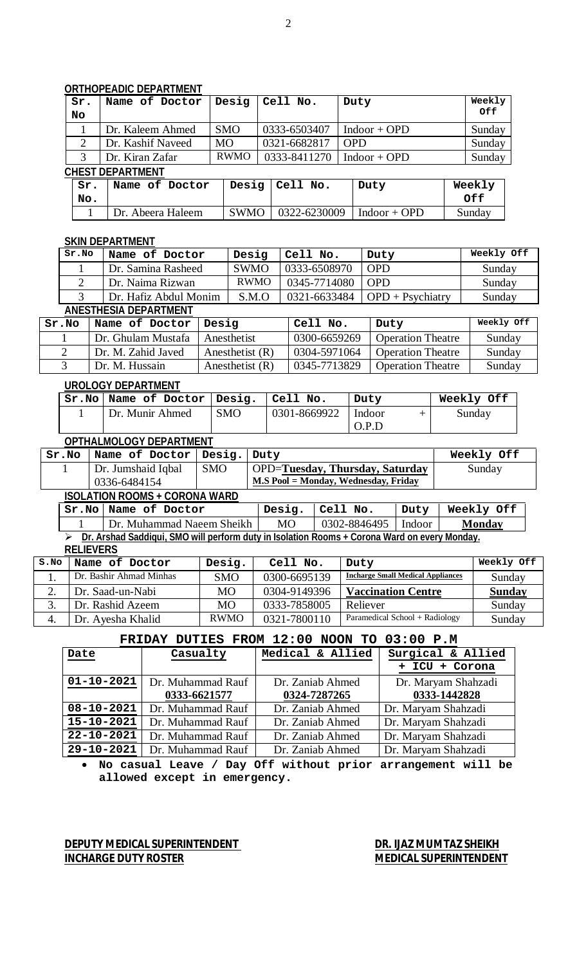### **ORTHOPEADIC DEPARTMENT**

| Sr.<br>No | Name of Doctor          | Desig       | Cell No.     | Duty           | Weekly<br>Off |  |
|-----------|-------------------------|-------------|--------------|----------------|---------------|--|
|           | Dr. Kaleem Ahmed        | <b>SMO</b>  | 0333-6503407 | $Indoor + OPD$ | Sunday        |  |
| 2         | Dr. Kashif Naveed       | <b>MO</b>   | 0321-6682817 | <b>OPD</b>     | Sunday        |  |
| 3         | Dr. Kiran Zafar         | <b>RWMO</b> | 0333-8411270 | $Indoor + OPD$ | Sunday        |  |
|           | <b>CHEST DEPARTMENT</b> |             |              |                |               |  |
| Sr.       | Name of Doctor          | Desig       | Cell No.     | Duty           | Weekly        |  |
| No.       |                         |             |              |                | <b>Off</b>    |  |

# 1 Dr. Abeera Haleem SWMO 0322-6230009 Indoor + OPD Sunday

|       | <b>SKIN DEPARTMENT</b> |             |              |                     |            |  |  |  |  |  |
|-------|------------------------|-------------|--------------|---------------------|------------|--|--|--|--|--|
| Sr.NO | Name of Doctor         | Desig       | Cell No.     | Duty                | Weekly Off |  |  |  |  |  |
|       | Dr. Samina Rasheed     | <b>SWMO</b> | 0333-6508970 | <b>OPD</b>          | Sunday     |  |  |  |  |  |
|       | Dr. Naima Rizwan       | RWMO        | 0345-7714080 | <b>OPD</b>          | Sunday     |  |  |  |  |  |
|       | Dr. Hafiz Abdul Monim  | S.M.O       | 0321-6633484 | $OPD + P$ sychiatry | Sunday     |  |  |  |  |  |

### **ANESTHESIA DEPARTMENT**

| Sr.No | Name of Doctor     | Desia             | Cell No.     | Duty                     | Weekly Off |
|-------|--------------------|-------------------|--------------|--------------------------|------------|
|       | Dr. Ghulam Mustafa | Anesthetist       | 0300-6659269 | <b>Operation Theatre</b> | Sunday     |
|       | Dr. M. Zahid Javed | Anesthetist $(R)$ | 0304-5971064 | <b>Operation Theatre</b> | Sunday     |
|       | Dr. M. Hussain     | Anesthetist $(R)$ | 0345-7713829 | <b>Operation Theatre</b> | Sunday     |

### **UROLOGY DEPARTMENT**

| Sr.No   Name of Doctor   Desig. |            | Cell No.     | Duty   | Weekly Off |
|---------------------------------|------------|--------------|--------|------------|
| Dr. Munir Ahmed                 | <b>SMO</b> | 0301-8669922 | Indoor | Sunday     |
|                                 |            |              | O.P.D  |            |

### **OPTHALMOLOGY DEPARTMENT**

| Sr.No | Name of Doctor   Desig.   Duty       |            |                                        | Weekly Off |
|-------|--------------------------------------|------------|----------------------------------------|------------|
|       | Dr. Jumshaid Iqbal                   | <b>SMO</b> | <b>OPD=Tuesday, Thursday, Saturday</b> | Sunday     |
|       | 0336-6484154                         |            | M.S Pool = Monday, Wednesday, Friday   |            |
|       | <b>ISOLATION ROOMS + CORONA WARD</b> |            |                                        |            |
|       |                                      |            |                                        |            |

|                                                                                              | Sr.No   Name of Doctor    |     | Desig.   Cell No.            | Duty | Weekly Off    |
|----------------------------------------------------------------------------------------------|---------------------------|-----|------------------------------|------|---------------|
|                                                                                              | Dr. Muhammad Naeem Sheikh | MO. | $\mid$ 0302-8846495   Indoor |      | <b>Monday</b> |
| Dr. Arshad Saddiqui, SMO will perform duty in Isolation Rooms + Corona Ward on every Monday. |                           |     |                              |      |               |

**RELIEVERS**

| S.NO | Name of Doctor          | Desig.      | Cell No.     | Duty                                     | Weekly Off    |
|------|-------------------------|-------------|--------------|------------------------------------------|---------------|
|      | Dr. Bashir Ahmad Minhas | <b>SMO</b>  | 0300-6695139 | <b>Incharge Small Medical Appliances</b> | Sunday        |
| ∠.   | Dr. Saad-un-Nabi        | <b>MO</b>   | 0304-9149396 | <b>Vaccination Centre</b>                | <b>Sunday</b> |
|      | Dr. Rashid Azeem        | <b>MO</b>   | 0333-7858005 | Reliever                                 | Sunday        |
| 4.   | Dr. Ayesha Khalid       | <b>RWMO</b> | 0321-7800110 | Paramedical School + Radiology           | Sunday        |

### **FRIDAY DUTIES FROM 12:00 NOON TO 03:00 P.M**

| Date             | Casualty          | Medical & Allied | Surgical & Allied   |
|------------------|-------------------|------------------|---------------------|
|                  |                   |                  | + ICU + Corona      |
| $01 - 10 - 2021$ | Dr. Muhammad Rauf | Dr. Zaniab Ahmed | Dr. Maryam Shahzadi |
|                  | 0333-6621577      | 0324-7287265     | 0333-1442828        |
| $08 - 10 - 2021$ | Dr. Muhammad Rauf | Dr. Zaniab Ahmed | Dr. Maryam Shahzadi |
| $15 - 10 - 2021$ | Dr. Muhammad Rauf | Dr. Zaniab Ahmed | Dr. Maryam Shahzadi |
| $22 - 10 - 2021$ | Dr. Muhammad Rauf | Dr. Zaniab Ahmed | Dr. Maryam Shahzadi |
| $29 - 10 - 2021$ | Dr. Muhammad Rauf | Dr. Zaniab Ahmed | Dr. Maryam Shahzadi |

 **No casual Leave / Day Off without prior arrangement will be allowed except in emergency.** 

**DEPUTY MEDICAL SUPERINTENDENT DR. IJAZ MUMTAZ SHEIKH INCHARGE DUTY ROSTER MEDICAL SUPERINTENDENT**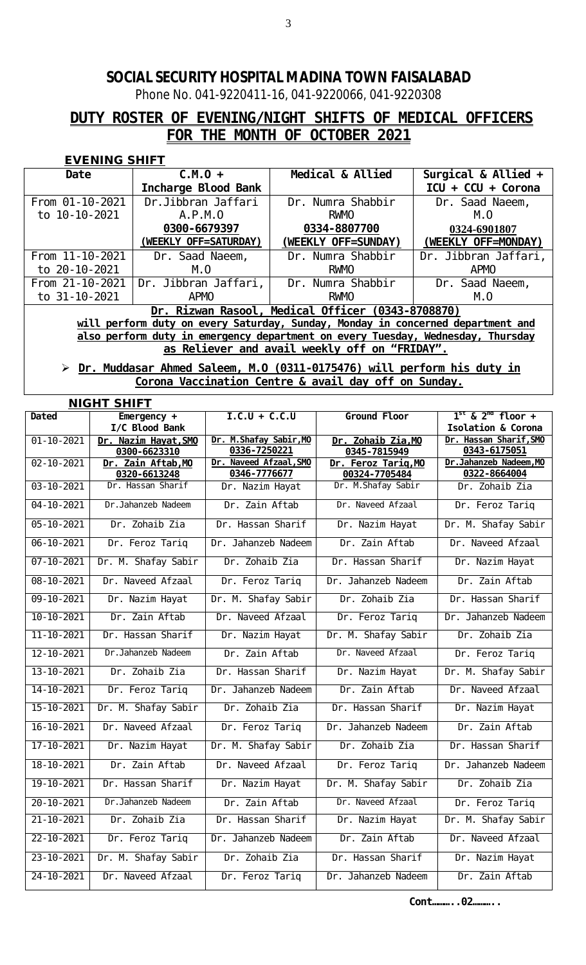Phone No. 041-9220411-16, 041-9220066, 041-9220308

# **DUTY ROSTER OF EVENING/NIGHT SHIFTS OF MEDICAL OFFICERS FOR THE MONTH OF OCTOBER 2021**

### **EVENING SHIFT**

| Date                                                                            | $C.M.0 +$             | Medical & Allied                                  | Surgical & Allied $+$ |  |  |  |
|---------------------------------------------------------------------------------|-----------------------|---------------------------------------------------|-----------------------|--|--|--|
|                                                                                 | Incharge Blood Bank   |                                                   | $ICU + CCU + Corona$  |  |  |  |
| From 01-10-2021                                                                 | Dr. Ji bbran Jaffari  | Dr. Numra Shabbir                                 | Dr. Saad Naeem,       |  |  |  |
| to 10-10-2021                                                                   | A. P. M. O            | RWMO                                              | M. O                  |  |  |  |
|                                                                                 | 0300-6679397          | 0334-8807700                                      | 0324-6901807          |  |  |  |
|                                                                                 | (WEEKLY OFF=SATURDAY) | (WEEKLY OFF=SUNDAY)                               | (WEEKLY OFF=MONDAY)   |  |  |  |
| From 11-10-2021                                                                 | Dr. Saad Naeem,       | Dr. Numra Shabbir                                 | Dr. Jibbran Jaffari,  |  |  |  |
| to 20-10-2021                                                                   | $M_{\cdot}$ $O$       | RWMO                                              | <b>APMO</b>           |  |  |  |
| From 21-10-2021                                                                 | Dr. Jibbran Jaffari,  | Dr. Numra Shabbir                                 | Dr. Saad Naeem,       |  |  |  |
| to 31-10-2021                                                                   | <b>APMO</b>           | <b>RWMO</b>                                       | M. O                  |  |  |  |
|                                                                                 |                       | Dr. Rizwan Rasool, Medical Officer (0343-8708870) |                       |  |  |  |
| will perform duty on every Saturday, Sunday, Monday in concerned department and |                       |                                                   |                       |  |  |  |
| also perform duty in emergency department on every Tuesday, Wednesday, Thursday |                       |                                                   |                       |  |  |  |
|                                                                                 |                       | as Reliever and avail weekly off on "FRIDAY".     |                       |  |  |  |

### **Dr. Muddasar Ahmed Saleem, M.O (0311-0175476) will perform his duty in Corona Vaccination Centre & avail day off on Sunday.**

|                  | <b>NIGHT SHIFT</b>   |                         |                     |                               |  |  |  |
|------------------|----------------------|-------------------------|---------------------|-------------------------------|--|--|--|
| Dated            | Emergency $+$        | $I.C.U + C.C.U$         | Ground Floor        | $1^{st}$ & $2^{nd}$ floor +   |  |  |  |
|                  | I/C BIood Bank       |                         |                     | <b>Isolation &amp; Corona</b> |  |  |  |
| $01 - 10 - 2021$ | Dr. Nazim Hayat, SMO | Dr. M. Shafay Sabir, MO | Dr. Zohaib Zia, MO  | Dr. Hassan Sharif, SMO        |  |  |  |
|                  | 0300-6623310         | 0336-7250221            | 0345-7815949        | 0343-6175051                  |  |  |  |
| $02 - 10 - 2021$ | Dr. Zain Aftab, MO   | Dr. Naveed Afzaal, SMO  | Dr. Feroz Tariq, MO | Dr. Jahanzeb Nadeem, MO       |  |  |  |
|                  | 0320-6613248         | 0346-7776677            | 00324-7705484       | 0322-8664004                  |  |  |  |
| $03 - 10 - 2021$ | Dr. Hassan Sharif    | Dr. Nazim Hayat         | Dr. M. Shafay Sabir | Dr. Zohaib Zia                |  |  |  |
| $04 - 10 - 2021$ | Dr. Jahanzeb Nadeem  | Dr. Zain Aftab          | Dr. Naveed Afzaal   | Dr. Feroz Tariq               |  |  |  |
| $05 - 10 - 2021$ | Dr. Zohaib Zia       | Dr. Hassan Sharif       | Dr. Nazim Hayat     | Dr. M. Shafay Sabir           |  |  |  |
| $06 - 10 - 2021$ | Dr. Feroz Tariq      | Dr. Jahanzeb Nadeem     | Dr. Zain Aftab      | Dr. Naveed Afzaal             |  |  |  |
| $07 - 10 - 2021$ | Dr. M. Shafay Sabir  | Dr. Zohaib Zia          | Dr. Hassan Sharif   | Dr. Nazim Hayat               |  |  |  |
| $08 - 10 - 2021$ | Dr. Naveed Afzaal    | Dr. Feroz Tariq         | Dr. Jahanzeb Nadeem | Dr. Zain Aftab                |  |  |  |
| $09 - 10 - 2021$ | Dr. Nazim Hayat      | Dr. M. Shafay Sabir     | Dr. Zohaib Zia      | Dr. Hassan Sharif             |  |  |  |
| $10 - 10 - 2021$ | Dr. Zain Aftab       | Dr. Naveed Afzaal       | Dr. Feroz Tariq     | Dr. Jahanzeb Nadeem           |  |  |  |
| $11 - 10 - 2021$ | Dr. Hassan Sharif    | Dr. Nazim Hayat         | Dr. M. Shafay Sabir | Dr. Zohaib Zia                |  |  |  |
| $12 - 10 - 2021$ | Dr. Jahanzeb Nadeem  | Dr. Zain Aftab          | Dr. Naveed Afzaal   | Dr. Feroz Tariq               |  |  |  |
| $13 - 10 - 2021$ | Dr. Zohaib Zia       | Dr. Hassan Sharif       | Dr. Nazim Hayat     | Dr. M. Shafay Sabir           |  |  |  |
| $14 - 10 - 2021$ | Dr. Feroz Tariq      | Dr. Jahanzeb Nadeem     | Dr. Zain Aftab      | Dr. Naveed Afzaal             |  |  |  |
| $15 - 10 - 2021$ | Dr. M. Shafay Sabir  | Dr. Zohaib Zia          | Dr. Hassan Sharif   | Dr. Nazim Hayat               |  |  |  |
| $16 - 10 - 2021$ | Dr. Naveed Afzaal    | Dr. Feroz Tariq         | Dr. Jahanzeb Nadeem | Dr. Zain Aftab                |  |  |  |
| $17 - 10 - 2021$ | Dr. Nazim Hayat      | Dr. M. Shafay Sabir     | Dr. Zohaib Zia      | Dr. Hassan Sharif             |  |  |  |
| $18 - 10 - 2021$ | Dr. Zain Aftab       | Dr. Naveed Afzaal       | Dr. Feroz Tariq     | Dr. Jahanzeb Nadeem           |  |  |  |
| $19 - 10 - 2021$ | Dr. Hassan Sharif    | Dr. Nazim Hayat         | Dr. M. Shafay Sabir | Dr. Zohaib Zia                |  |  |  |
| $20 - 10 - 2021$ | Dr. Jahanzeb Nadeem  | Dr. Zain Aftab          | Dr. Naveed Afzaal   | Dr. Feroz Tariq               |  |  |  |
| $21 - 10 - 2021$ | Dr. Zohaib Zia       | Dr. Hassan Sharif       | Dr. Nazim Hayat     | Dr. M. Shafay Sabir           |  |  |  |
| $22 - 10 - 2021$ | Dr. Feroz Tariq      | Dr. Jahanzeb Nadeem     | Dr. Zain Aftab      | Dr. Naveed Afzaal             |  |  |  |
| $23 - 10 - 2021$ | Dr. M. Shafay Sabir  | Dr. Zohaib Zia          | Dr. Hassan Sharif   | Dr. Nazim Hayat               |  |  |  |
| $24 - 10 - 2021$ | Dr. Naveed Afzaal    | Dr. Feroz Tariq         | Dr. Jahanzeb Nadeem | Dr. Zain Aftab                |  |  |  |

**Cont………..02………..**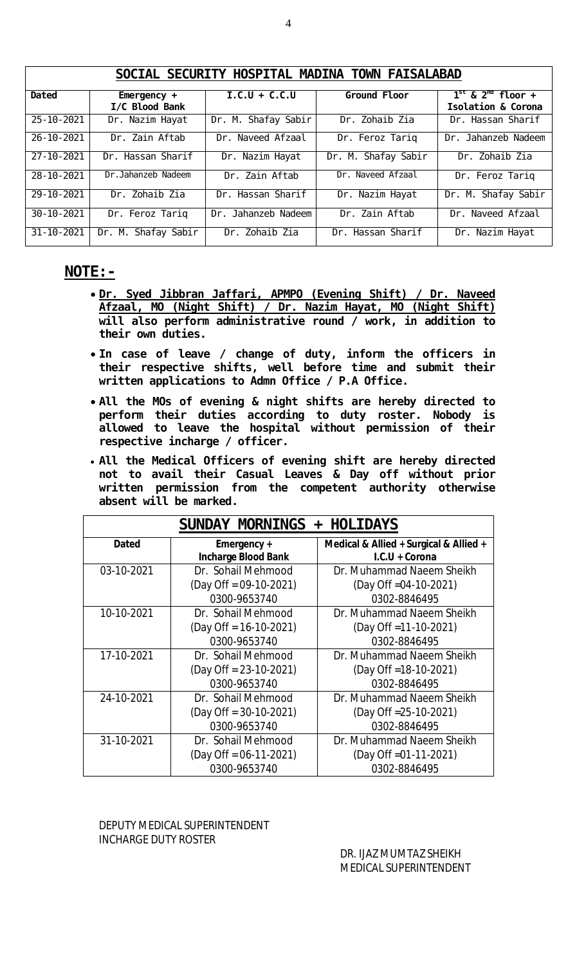|                  | JUVIAL JLVUNIII HUJFIIAL WADINA TUWN TATJALADAD |                     |                             |                             |  |  |  |  |
|------------------|-------------------------------------------------|---------------------|-----------------------------|-----------------------------|--|--|--|--|
| Dated            | Emergency $+$                                   | $I.C.U + C.C.U$     | Ground Floor                | $1^{st}$ & $2^{nq}$ floor + |  |  |  |  |
|                  | I/C Blood Bank                                  |                     |                             | Isolation & Corona          |  |  |  |  |
| $25 - 10 - 2021$ | Dr. Nazim Hayat                                 | Dr. M. Shafay Sabir | Dr. Zohaib Zia              | Dr. Hassan Sharif           |  |  |  |  |
| $26 - 10 - 2021$ | Dr. Zain Aftab                                  | Dr. Naveed Afzaal   | Dr. Feroz Tariq             | Dr. Jahanzeb Nadeem         |  |  |  |  |
| $27 - 10 - 2021$ | Dr. Hassan Sharif                               | Dr. Nazim Hayat     | Dr. M. Shafay Sabir         | Dr. Zohaib Zia              |  |  |  |  |
| 28-10-2021       | Dr. Jahanzeb Nadeem                             | Dr. Zain Aftab      | Dr. Naveed Afzaal           | Dr. Feroz Tariq             |  |  |  |  |
| 29-10-2021       | Dr. Zohaib Zia                                  | Dr. Hassan Sharif   | Dr. Nazim Hayat             | Dr. M. Shafay Sabir         |  |  |  |  |
| $30 - 10 - 2021$ | Dr. Feroz Tariq                                 | Dr. Jahanzeb Nadeem | $\overline{Dr.}$ Zain Aftab | Dr. Naveed Afzaal           |  |  |  |  |
| $31 - 10 - 2021$ | Dr. M. Shafay Sabir                             | Dr. Zohaib Zia      | Hassan Sharif<br>Dr.        | Dr. Nazim Hayat             |  |  |  |  |

### **NOTE:-**

- **Dr. Syed Jibbran Jaffari, APMPO (Evening Shift) / Dr. Naveed Afzaal, MO (Night Shift) / Dr. Nazim Hayat, MO (Night Shift) will also perform administrative round / work, in addition to their own duties.**
- **In case of leave / change of duty, inform the officers in their respective shifts, well before time and submit their written applications to Admn Office / P.A Office.**
- **All the MOs of evening & night shifts are hereby directed to perform their duties according to duty roster. Nobody is allowed to leave the hospital without permission of their respective incharge / officer.**
- **All the Medical Officers of evening shift are hereby directed not to avail their Casual Leaves & Day off without prior written permission from the competent authority otherwise absent will be marked.**

| + HOLIDAYS<br>SUNDAY MORNINGS |                            |                                        |  |  |  |  |
|-------------------------------|----------------------------|----------------------------------------|--|--|--|--|
| <b>Dated</b>                  | Emergency +                | Medical & Allied + Surgical & Allied + |  |  |  |  |
|                               | <b>Incharge Blood Bank</b> | I.C.U + Corona                         |  |  |  |  |
| 03-10-2021                    | Dr. Sohail Mehmood         | Dr. Muhammad Naeem Sheikh              |  |  |  |  |
|                               | $(Day$ Off = 09-10-2021)   | $(Day$ Off = 04 - 10 - 2021)           |  |  |  |  |
|                               | 0300-9653740               | 0302-8846495                           |  |  |  |  |
| 10-10-2021                    | Dr. Sohail Mehmood         | Dr. Muhammad Naeem Sheikh              |  |  |  |  |
|                               | $(Day$ Off = 16-10-2021)   | (Day Off = 11-10-2021)                 |  |  |  |  |
|                               | 0300-9653740               | 0302-8846495                           |  |  |  |  |
| 17-10-2021                    | Dr. Sohail Mehmood         | Dr. Muhammad Naeem Sheikh              |  |  |  |  |
|                               | $(Day$ Off = 23-10-2021)   | $(Day$ Off = 18-10-2021)               |  |  |  |  |
|                               | 0300-9653740               | 0302-8846495                           |  |  |  |  |
| 24-10-2021                    | Dr. Sohail Mehmood         | Dr. Muhammad Naeem Sheikh              |  |  |  |  |
|                               | $(Day$ Off = 30-10-2021)   | (Day Off = 25-10-2021)                 |  |  |  |  |
|                               | 0300-9653740               | 0302-8846495                           |  |  |  |  |
| 31-10-2021                    | Dr. Sohail Mehmood         | Dr. Muhammad Naeem Sheikh              |  |  |  |  |
|                               | $(Day$ Off = 06-11-2021)   | (Day Off = 01 - 11 - 2021)             |  |  |  |  |
|                               | 0300-9653740               | 0302-8846495                           |  |  |  |  |

### DEPUTY MEDICAL SUPERINTENDENT INCHARGE DUTY ROSTER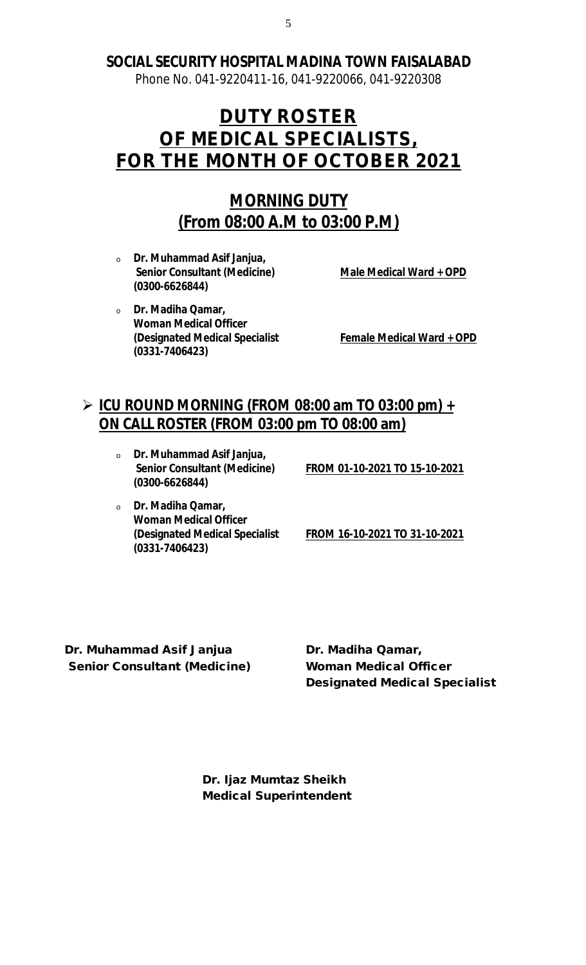Phone No. 041-9220411-16, 041-9220066, 041-9220308

# **DUTY ROSTER OF MEDICAL SPECIALISTS, FOR THE MONTH OF OCTOBER 2021**

# **MORNING DUTY (From 08:00 A.M to 03:00 P.M)**

<sup>o</sup> **Dr. Muhammad Asif Janjua, Senior Consultant (Medicine) Male Medical Ward + OPD (0300-6626844)**

<sup>o</sup> **Dr. Madiha Qamar, Woman Medical Officer (Designated Medical Specialist Female Medical Ward + OPD (0331-7406423)**

# **ICU ROUND MORNING (FROM 08:00 am TO 03:00 pm) + ON CALL ROSTER (FROM 03:00 pm TO 08:00 am)**

<sup>o</sup> **Dr. Muhammad Asif Janjua, (0300-6626844)**

**Senior Consultant (Medicine) FROM 01-10-2021 TO 15-10-2021**

<sup>o</sup> **Dr. Madiha Qamar, Woman Medical Officer (0331-7406423)**

**(Designated Medical Specialist FROM 16-10-2021 TO 31-10-2021**

**Dr. Muhammad Asif Janjua Dr. Madiha Qamar, Senior Consultant (Medicine) Woman Medical Officer**

**Designated Medical Specialist**

**Dr. Ijaz Mumtaz Sheikh Medical Superintendent**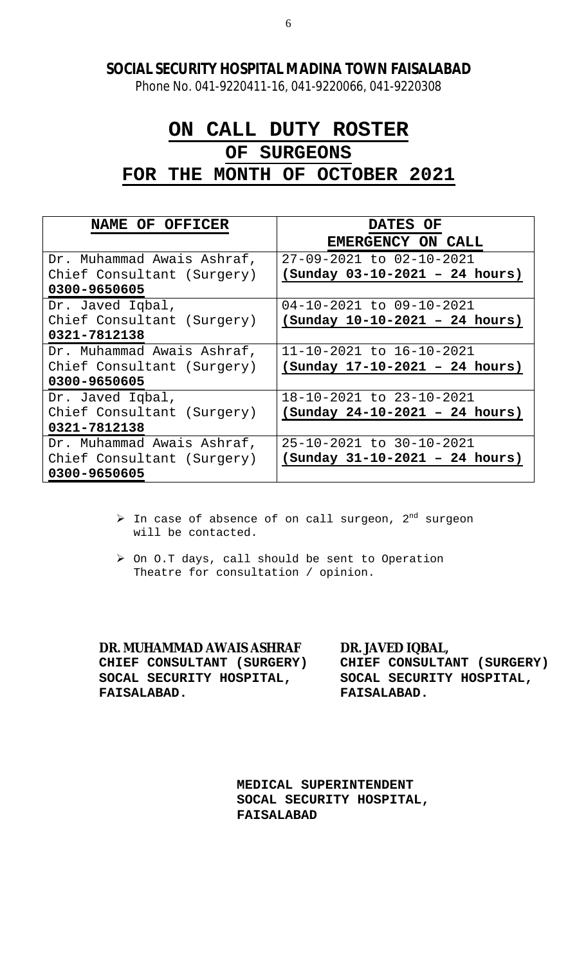Phone No. 041-9220411-16, 041-9220066, 041-9220308

# **ON CALL DUTY ROSTER OF SURGEONS FOR THE MONTH OF OCTOBER 2021**

| NAME OF OFFICER            | <b>DATES OF</b>                  |
|----------------------------|----------------------------------|
|                            | <b>EMERGENCY ON CALL</b>         |
| Dr. Muhammad Awais Ashraf, | 27-09-2021 to 02-10-2021         |
| Chief Consultant (Surgery) | $(Sunday 03-10-2021 - 24 hours)$ |
| 0300-9650605               |                                  |
| Dr. Javed Iqbal,           | 04-10-2021 to 09-10-2021         |
| Chief Consultant (Surgery) | $(Sunday 10-10-2021 - 24 hours)$ |
| 0321-7812138               |                                  |
| Dr. Muhammad Awais Ashraf, | 11-10-2021 to 16-10-2021         |
| Chief Consultant (Surgery) | (Sunday 17-10-2021 - 24 hours)   |
| 0300-9650605               |                                  |
| Dr. Javed Iqbal,           | 18-10-2021 to 23-10-2021         |
| Chief Consultant (Surgery) | (Sunday 24-10-2021 - 24 hours)   |
| 0321-7812138               |                                  |
| Dr. Muhammad Awais Ashraf, | 25-10-2021 to 30-10-2021         |
| Chief Consultant (Surgery) | $(sunday 31-10-2021 - 24 hours)$ |
| 0300-9650605               |                                  |

- $\triangleright$  In case of absence of on call surgeon,  $2^{nd}$  surgeon will be contacted.
- > On O.T days, call should be sent to Operation Theatre for consultation / opinion.

**DR. MUHAMMAD AWAIS ASHRAF DR. JAVED IQBAL, CHIEF CONSULTANT (SURGERY) CHIEF CONSULTANT (SURGERY) SOCAL SECURITY HOSPITAL, SOCAL SECURITY HOSPITAL, FAISALABAD. FAISALABAD.**

**MEDICAL SUPERINTENDENT SOCAL SECURITY HOSPITAL, FAISALABAD**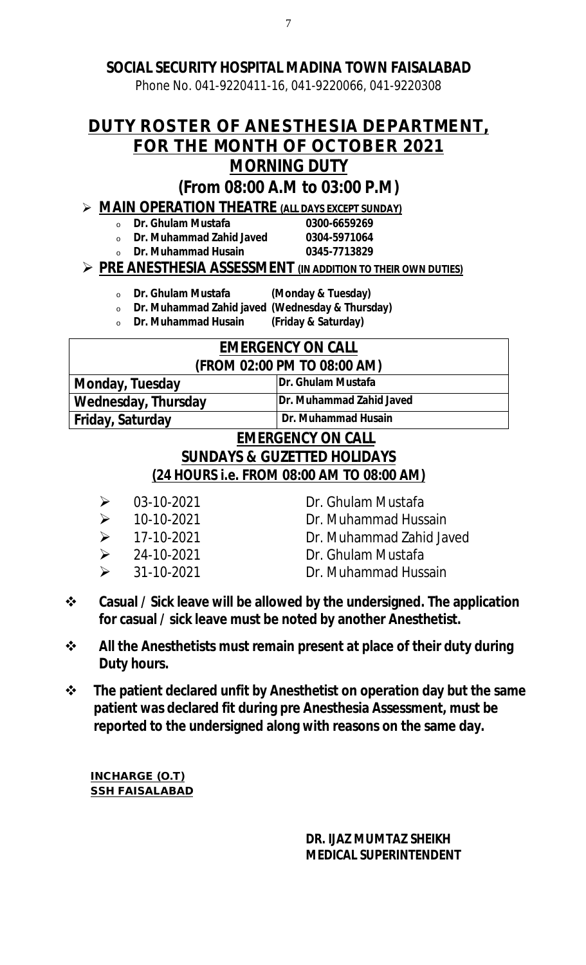Phone No. 041-9220411-16, 041-9220066, 041-9220308

# **DUTY ROSTER OF ANESTHESIA DEPARTMENT, FOR THE MONTH OF OCTOBER 2021 MORNING DUTY**

# **(From 08:00 A.M to 03:00 P.M)**

# **MAIN OPERATION THEATRE (ALL DAYS EXCEPT SUNDAY)**

<sup>o</sup> **Dr. Ghulam Mustafa 0300-6659269** 

<sup>o</sup> **Dr. Muhammad Zahid Javed 0304-5971064** <sup>o</sup> **Dr. Muhammad Husain 0345-7713829**

# **PRE ANESTHESIA ASSESSMENT (IN ADDITION TO THEIR OWN DUTIES)**

- <sup>o</sup> **Dr. Ghulam Mustafa (Monday & Tuesday)**
- <sup>o</sup> **Dr. Muhammad Zahid javed (Wednesday & Thursday)**
- <sup>o</sup> **Dr. Muhammad Husain (Friday & Saturday)**

### **EMERGENCY ON CALL (FROM 02:00 PM TO 08:00 AM)**

**Monday, Tuesday Dr. Ghulam Mustafa Wednesday, Thursday Friday, Saturday Dr. Muhammad Husain** 

# **EMERGENCY ON CALL SUNDAYS & GUZETTED HOLIDAYS (24 HOURS i.e. FROM 08:00 AM TO 08:00 AM)**

- 
- 
- 
- 
- 
- $\geqslant$  03-10-2021 Dr. Ghulam Mustafa
- 10-10-2021 Dr. Muhammad Hussain
- 17-10-2021 Dr. Muhammad Zahid Javed
- $\geq$  24-10-2021 Dr. Ghulam Mustafa
- 31-10-2021 Dr. Muhammad Hussain
- **Casual / Sick leave will be allowed by the undersigned. The application for casual / sick leave must be noted by another Anesthetist.**
- **All the Anesthetists must remain present at place of their duty during Duty hours.**
- **The patient declared unfit by Anesthetist on operation day but the same patient was declared fit during pre Anesthesia Assessment, must be reported to the undersigned along with reasons on the same day.**

**INCHARGE (O.T) SSH FAISALABAD**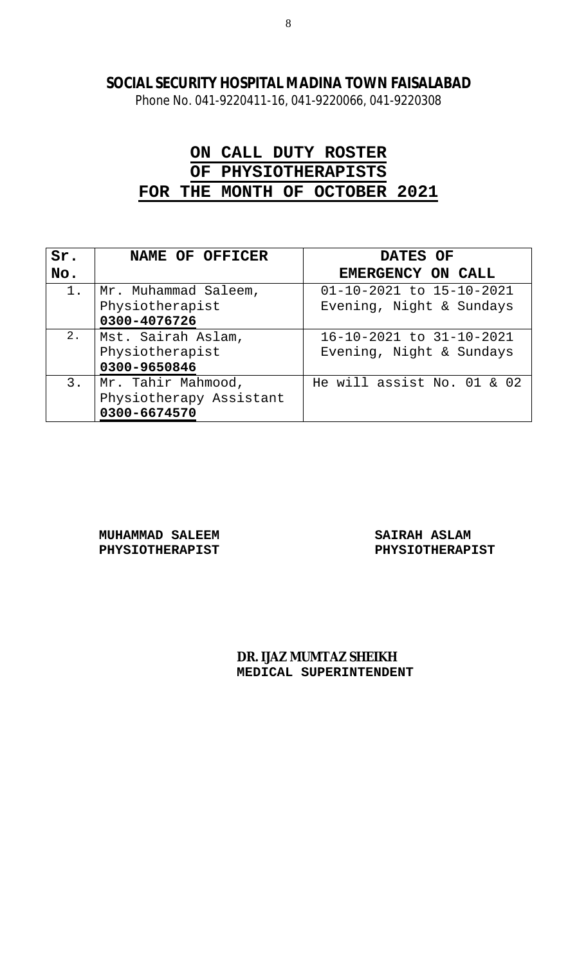Phone No. 041-9220411-16, 041-9220066, 041-9220308

# **ON CALL DUTY ROSTER OF PHYSIOTHERAPISTS FOR THE MONTH OF OCTOBER 2021**

| Sr.   | NAME OF OFFICER         | DATES OF                   |  |  |
|-------|-------------------------|----------------------------|--|--|
| No.   |                         | EMERGENCY ON CALL          |  |  |
| $1$ . | Mr. Muhammad Saleem,    | 01-10-2021 to 15-10-2021   |  |  |
|       | Physiotherapist         | Evening, Night & Sundays   |  |  |
|       | 0300-4076726            |                            |  |  |
| 2.    | Mst. Sairah Aslam,      | 16-10-2021 to 31-10-2021   |  |  |
|       | Physiotherapist         | Evening, Night & Sundays   |  |  |
|       | 0300-9650846            |                            |  |  |
| 3.    | Mr. Tahir Mahmood,      | He will assist No. 01 & 02 |  |  |
|       | Physiotherapy Assistant |                            |  |  |
|       | 0300-6674570            |                            |  |  |

**MUHAMMAD SALEEM SAIRAH ASLAM**

PHYSIOTHERAPIST PHYSIOTHERAPIST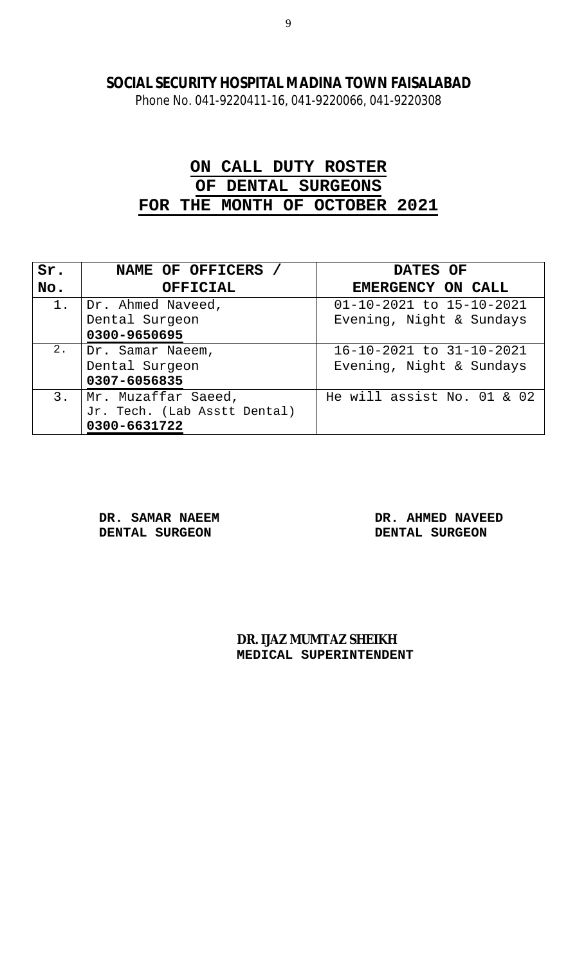Phone No. 041-9220411-16, 041-9220066, 041-9220308

# **ON CALL DUTY ROSTER OF DENTAL SURGEONS FOR THE MONTH OF OCTOBER 2021**

| Sr.   | NAME OF OFFICERS             | DATES OF                   |  |
|-------|------------------------------|----------------------------|--|
| No.   | <b>OFFICIAL</b>              | <b>EMERGENCY ON CALL</b>   |  |
| $1$ . | Dr. Ahmed Naveed,            | 01-10-2021 to 15-10-2021   |  |
|       | Dental Surgeon               | Evening, Night & Sundays   |  |
|       | 0300-9650695                 |                            |  |
| 2.    | Dr. Samar Naeem,             | 16-10-2021 to 31-10-2021   |  |
|       | Dental Surgeon               | Evening, Night & Sundays   |  |
|       | 0307-6056835                 |                            |  |
| 3.    | Mr. Muzaffar Saeed,          | He will assist No. 01 & 02 |  |
|       | Jr. Tech. (Lab Asstt Dental) |                            |  |
|       | 0300-6631722                 |                            |  |

**DENTAL SURGEON DENTAL SURGEON**

**DR. SAMAR NAEEM DR. AHMED NAVEED**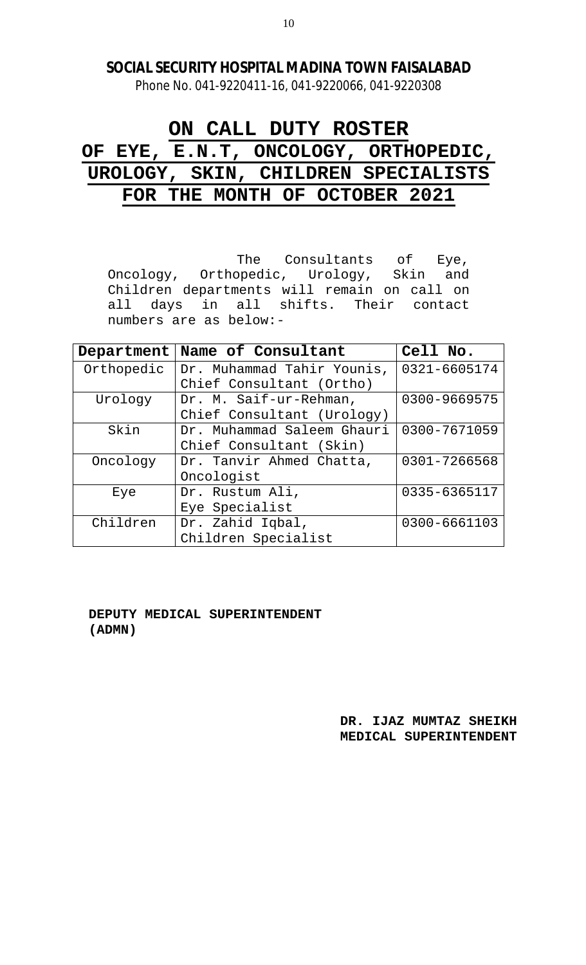Phone No. 041-9220411-16, 041-9220066, 041-9220308

# **ON CALL DUTY ROSTER OF EYE, E.N.T, ONCOLOGY, ORTHOPEDIC, UROLOGY, SKIN, CHILDREN SPECIALISTS FOR THE MONTH OF OCTOBER 2021**

The Consultants of Eye, Oncology, Orthopedic, Urology, Skin and Children departments will remain on call on all days in all shifts. Their contact numbers are as below:-

| Department | Name of Consultant         | Cell No.     |
|------------|----------------------------|--------------|
| Orthopedic | Dr. Muhammad Tahir Younis, | 0321-6605174 |
|            | Chief Consultant (Ortho)   |              |
| Urology    | Dr. M. Saif-ur-Rehman,     | 0300-9669575 |
|            | Chief Consultant (Urology) |              |
| Skin       | Dr. Muhammad Saleem Ghauri | 0300-7671059 |
|            | Chief Consultant (Skin)    |              |
| Oncology   | Dr. Tanvir Ahmed Chatta,   | 0301-7266568 |
|            | Oncologist                 |              |
| Eye        | Dr. Rustum Ali,            | 0335-6365117 |
|            | Eye Specialist             |              |
| Children   | Dr. Zahid Iqbal,           | 0300-6661103 |
|            | Children Specialist        |              |

 **DEPUTY MEDICAL SUPERINTENDENT (ADMN)**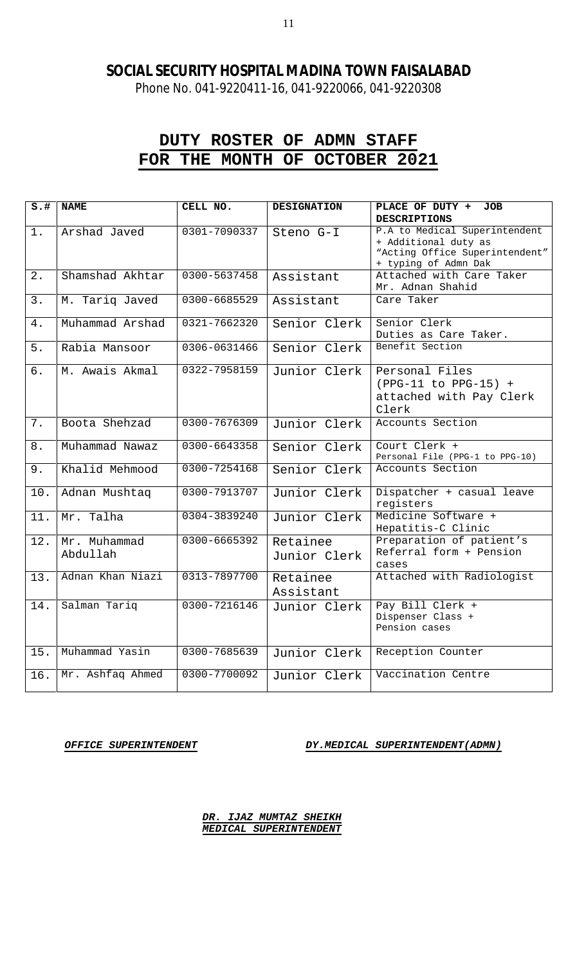Phone No. 041-9220411-16, 041-9220066, 041-9220308

# **DUTY ROSTER OF ADMN STAFF FOR THE MONTH OF OCTOBER 2021**

| $s.+$            | <b>NAME</b>              | CELL NO.     | <b>DESIGNATION</b>       | PLACE OF DUTY +<br><b>JOB</b>                                                                                   |
|------------------|--------------------------|--------------|--------------------------|-----------------------------------------------------------------------------------------------------------------|
|                  |                          |              |                          | <b>DESCRIPTIONS</b>                                                                                             |
| $1$ .            | Arshad Javed             | 0301-7090337 | Steno G-I                | P.A to Medical Superintendent<br>+ Additional duty as<br>"Acting Office Superintendent"<br>+ typing of Admn Dak |
| 2.               | Shamshad Akhtar          | 0300-5637458 | Assistant                | Attached with Care Taker<br>Mr. Adnan Shahid                                                                    |
| 3.               | M. Tariq Javed           | 0300-6685529 | Assistant                | Care Taker                                                                                                      |
| 4.               | Muhammad Arshad          | 0321-7662320 | Senior Clerk             | Senior Clerk<br>Duties as Care Taker.                                                                           |
| 5.               | Rabia Mansoor            | 0306-0631466 | Senior Clerk             | Benefit Section                                                                                                 |
| $\overline{6}$ . | M. Awais Akmal           | 0322-7958159 | Junior Clerk             | Personal Files<br>$(PPG-11 to PPG-15) +$<br>attached with Pay Clerk<br>Clerk                                    |
| 7.               | Boota Shehzad            | 0300-7676309 | Junior Clerk             | Accounts Section                                                                                                |
| $8$ .            | Muhammad Nawaz           | 0300-6643358 | Senior Clerk             | Court Clerk +<br>Personal File (PPG-1 to PPG-10)                                                                |
| 9.               | Khalid Mehmood           | 0300-7254168 | Senior Clerk             | Accounts Section                                                                                                |
| 10.              | Adnan Mushtaq            | 0300-7913707 | Junior Clerk             | Dispatcher + casual leave<br>registers                                                                          |
| 11.              | Mr. Talha                | 0304-3839240 | Junior Clerk             | Medicine Software +<br>Hepatitis-C Clinic                                                                       |
| 12.              | Mr. Muhammad<br>Abdullah | 0300-6665392 | Retainee<br>Junior Clerk | Preparation of patient's<br>Referral form + Pension<br>cases                                                    |
| 13.              | Adnan Khan Niazi         | 0313-7897700 | Retainee<br>Assistant    | Attached with Radiologist                                                                                       |
| 14.              | Salman Tariq             | 0300-7216146 | Junior Clerk             | Pay Bill Clerk +<br>Dispenser Class +<br>Pension cases                                                          |
| 15.              | Muhammad Yasin           | 0300-7685639 | Junior Clerk             | Reception Counter                                                                                               |
| 16.              | Mr. Ashfaq Ahmed         | 0300-7700092 | Junior Clerk             | Vaccination Centre                                                                                              |

*OFFICE SUPERINTENDENT DY.MEDICAL SUPERINTENDENT(ADMN)*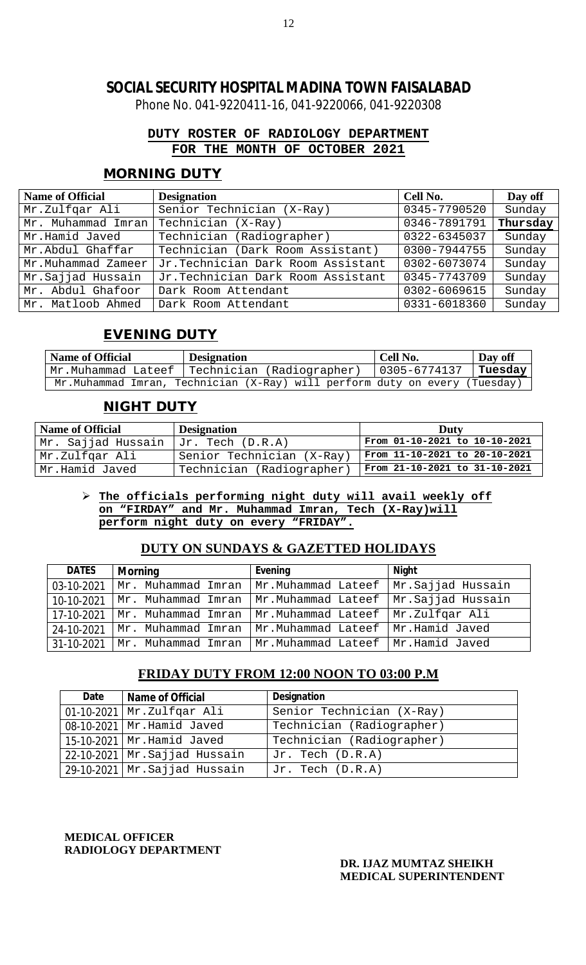Phone No. 041-9220411-16, 041-9220066, 041-9220308

### **DUTY ROSTER OF RADIOLOGY DEPARTMENT FOR THE MONTH OF OCTOBER 2021**

# **MORNING DUTY**

| <b>Name of Official</b> | <b>Designation</b>                | Cell No.     | Day off  |
|-------------------------|-----------------------------------|--------------|----------|
| Mr.Zulfgar Ali          | Senior Technician (X-Ray)         | 0345-7790520 | Sunday   |
| Mr. Muhammad Imran      | Technician (X-Ray)                | 0346-7891791 | Thursday |
| Mr.Hamid Javed          | Technician (Radiographer)         | 0322-6345037 | Sunday   |
| Mr.Abdul Ghaffar        | Technician (Dark Room Assistant)  | 0300-7944755 | Sunday   |
| Mr.Muhammad Zameer      | Jr.Technician Dark Room Assistant | 0302-6073074 | Sunday   |
| Mr.Sajjad Hussain       | Jr.Technician Dark Room Assistant | 0345-7743709 | Sunday   |
| Mr. Abdul Ghafoor       | Dark Room Attendant               | 0302-6069615 | Sunday   |
| Mr. Matloob Ahmed       | Dark Room Attendant               | 0331-6018360 | Sunday   |

# **EVENING DUTY**

| <b>Name of Official</b> | <b>Designation</b>                                                         | Cell No.          | Day off |
|-------------------------|----------------------------------------------------------------------------|-------------------|---------|
| Mr.Muhammad Lateef      | Technician (Radiographer)                                                  | $ 0305 - 6774137$ | Tuesday |
|                         | Mr.Muhammad Imran, Technician (X-Ray) will perform duty on every (Tuesday) |                   |         |

### **NIGHT DUTY**

| <b>Name of Official</b> | <b>Designation</b>        | Duty                          |  |
|-------------------------|---------------------------|-------------------------------|--|
| Mr. Sajjad Hussain      | $Jr.$ Tech $(D.R.A)$      | From 01-10-2021 to 10-10-2021 |  |
| Mr.Zulfqar Ali          | Senior Technician (X-Ray) | From 11-10-2021 to 20-10-2021 |  |
| Mr.Hamid Javed          | Technician (Radiographer) | From 21-10-2021 to 31-10-2021 |  |

#### **The officials performing night duty will avail weekly off on "FIRDAY" and Mr. Muhammad Imran, Tech (X-Ray)will perform night duty on every "FRIDAY".**

### **DUTY ON SUNDAYS & GAZETTED HOLIDAYS**

| <b>DATES</b> | <b>Morning</b>     | Evening                                                  | <b>Night</b>      |
|--------------|--------------------|----------------------------------------------------------|-------------------|
| 03-10-2021   | Mr. Muhammad Imran | Mr.Muhammad Lateef                                       | Mr.Sajjad Hussain |
| 10-10-2021   | Mr. Muhammad Imran | Mr.Muhammad Lateef                                       | Mr.Sajjad Hussain |
| 17-10-2021   | Mr. Muhammad Imran | Mr.Muhammad Lateef                                       | Mr.Zulfgar Ali    |
| 24-10-2021   | Mr. Muhammad Imran | Mr.Muhammad Lateef                                       | Mr.Hamid Javed    |
| 31-10-2021   |                    | Mr. Muhammad Imran   Mr.Muhammad Lateef   Mr.Hamid Javed |                   |

### **FRIDAY DUTY FROM 12:00 NOON TO 03:00 P.M**

| Date             | <b>Name of Official</b>         | <b>Designation</b>        |
|------------------|---------------------------------|---------------------------|
| $01 - 10 - 2021$ | Mr.Zulfgar Ali                  | Senior Technician (X-Ray) |
|                  | 08-10-2021   Mr. Hamid Javed    | Technician (Radiographer) |
|                  | 15-10-2021   Mr. Hamid Javed    | Technician (Radiographer) |
| 22-10-2021       | Mr.Sajjad Hussain               | Jr. Tech (D.R.A)          |
|                  | $29-10-2021$ Mr. Sajjad Hussain | Jr. Tech (D.R.A)          |

**MEDICAL OFFICER RADIOLOGY DEPARTMENT**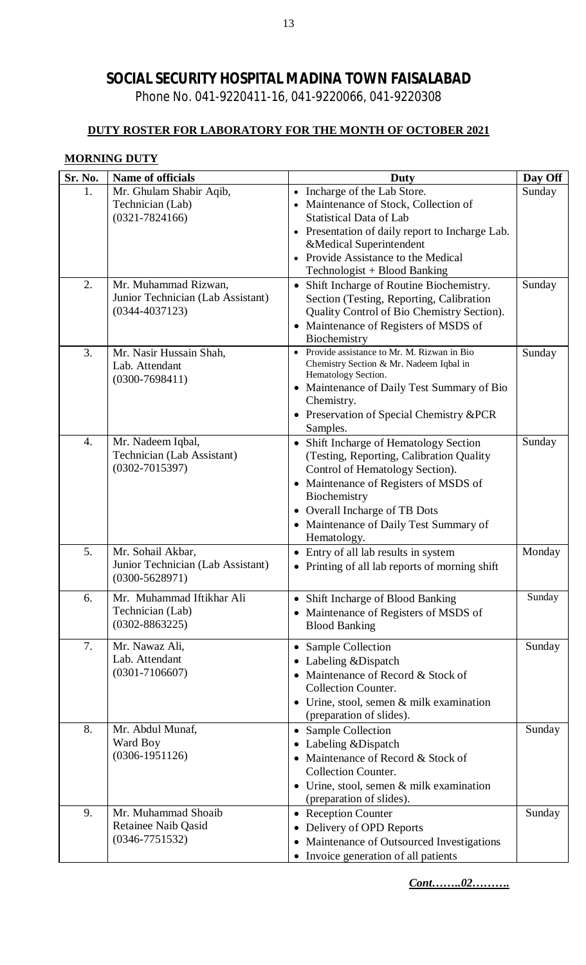Phone No. 041-9220411-16, 041-9220066, 041-9220308

### **DUTY ROSTER FOR LABORATORY FOR THE MONTH OF OCTOBER 2021**

### **MORNING DUTY**

| Sr. No. | Name of officials                                                               | Duty                                                                                                                                                                                                                                                                      | Day Off |
|---------|---------------------------------------------------------------------------------|---------------------------------------------------------------------------------------------------------------------------------------------------------------------------------------------------------------------------------------------------------------------------|---------|
| 1.      | Mr. Ghulam Shabir Aqib,<br>Technician (Lab)<br>$(0321 - 7824166)$               | • Incharge of the Lab Store.<br>• Maintenance of Stock, Collection of<br><b>Statistical Data of Lab</b><br>• Presentation of daily report to Incharge Lab.<br>&Medical Superintendent<br>• Provide Assistance to the Medical<br>Technologist + Blood Banking              | Sunday  |
| 2.      | Mr. Muhammad Rizwan,<br>Junior Technician (Lab Assistant)<br>$(0344 - 4037123)$ | • Shift Incharge of Routine Biochemistry.<br>Section (Testing, Reporting, Calibration<br>Quality Control of Bio Chemistry Section).<br>• Maintenance of Registers of MSDS of<br>Biochemistry                                                                              | Sunday  |
| 3.      | Mr. Nasir Hussain Shah,<br>Lab. Attendant<br>$(0300 - 7698411)$                 | Provide assistance to Mr. M. Rizwan in Bio<br>Chemistry Section & Mr. Nadeem Iqbal in<br>Hematology Section.<br>• Maintenance of Daily Test Summary of Bio<br>Chemistry.<br>• Preservation of Special Chemistry &PCR<br>Samples.                                          | Sunday  |
| 4.      | Mr. Nadeem Iqbal,<br>Technician (Lab Assistant)<br>$(0302 - 7015397)$           | • Shift Incharge of Hematology Section<br>(Testing, Reporting, Calibration Quality)<br>Control of Hematology Section).<br>• Maintenance of Registers of MSDS of<br>Biochemistry<br>• Overall Incharge of TB Dots<br>• Maintenance of Daily Test Summary of<br>Hematology. | Sunday  |
| 5.      | Mr. Sohail Akbar,<br>Junior Technician (Lab Assistant)<br>$(0300 - 5628971)$    | • Entry of all lab results in system<br>• Printing of all lab reports of morning shift                                                                                                                                                                                    | Monday  |
| 6.      | Mr. Muhammad Iftikhar Ali<br>Technician (Lab)<br>$(0302 - 8863225)$             | Shift Incharge of Blood Banking<br>• Maintenance of Registers of MSDS of<br><b>Blood Banking</b>                                                                                                                                                                          | Sunday  |
| 7.      | Mr. Nawaz Ali,<br>Lab. Attendant<br>$(0301 - 7106607)$                          | • Sample Collection<br>• Labeling & Dispatch<br>Maintenance of Record & Stock of<br><b>Collection Counter.</b><br>• Urine, stool, semen $&$ milk examination<br>(preparation of slides).                                                                                  | Sunday  |
| 8.      | Mr. Abdul Munaf,<br>Ward Boy<br>$(0306 - 1951126)$                              | • Sample Collection<br>Labeling & Dispatch<br>Maintenance of Record & Stock of<br><b>Collection Counter.</b><br>• Urine, stool, semen $&$ milk examination<br>(preparation of slides).                                                                                    | Sunday  |
| 9.      | Mr. Muhammad Shoaib<br><b>Retainee Naib Qasid</b><br>$(0346 - 7751532)$         | • Reception Counter<br>• Delivery of OPD Reports<br>Maintenance of Outsourced Investigations<br>• Invoice generation of all patients                                                                                                                                      | Sunday  |

*Cont……..02……….*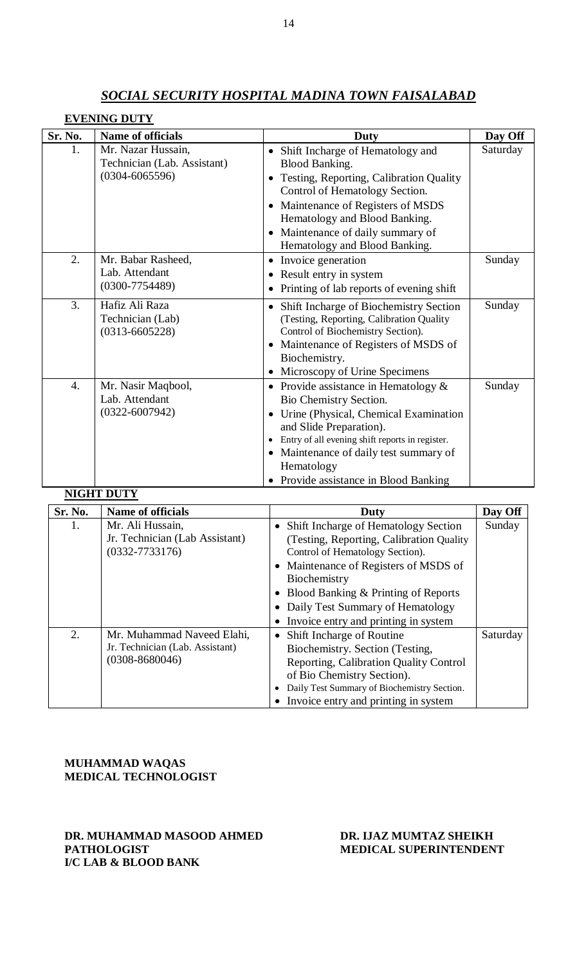|                  | <b>EVENING DUTY</b>                                                     |                                                                                                                                                                                                                                                                                      |          |
|------------------|-------------------------------------------------------------------------|--------------------------------------------------------------------------------------------------------------------------------------------------------------------------------------------------------------------------------------------------------------------------------------|----------|
| Sr. No.          | Name of officials                                                       | Duty                                                                                                                                                                                                                                                                                 | Day Off  |
| 1.               | Mr. Nazar Hussain,<br>Technician (Lab. Assistant)<br>$(0304 - 6065596)$ | Shift Incharge of Hematology and<br><b>Blood Banking.</b><br>Testing, Reporting, Calibration Quality<br>Control of Hematology Section.<br>Maintenance of Registers of MSDS<br>Hematology and Blood Banking.<br>Maintenance of daily summary of<br>Hematology and Blood Banking.      | Saturday |
| 2.               | Mr. Babar Rasheed,<br>Lab. Attendant<br>$(0300 - 7754489)$              | • Invoice generation<br>Result entry in system<br>Printing of lab reports of evening shift                                                                                                                                                                                           | Sunday   |
| 3.               | Hafiz Ali Raza<br>Technician (Lab)<br>$(0313 - 6605228)$                | Shift Incharge of Biochemistry Section<br>$\bullet$<br>(Testing, Reporting, Calibration Quality<br>Control of Biochemistry Section).<br>Maintenance of Registers of MSDS of<br>Biochemistry.<br>Microscopy of Urine Specimens                                                        | Sunday   |
| $\overline{4}$ . | Mr. Nasir Maqbool,<br>Lab. Attendant<br>$(0322 - 6007942)$              | • Provide assistance in Hematology $&$<br>Bio Chemistry Section.<br>Urine (Physical, Chemical Examination<br>and Slide Preparation).<br>Entry of all evening shift reports in register.<br>Maintenance of daily test summary of<br>Hematology<br>Provide assistance in Blood Banking | Sunday   |
|                  | <b>NIGHT DUTY</b>                                                       |                                                                                                                                                                                                                                                                                      |          |
| Sr. No.          | <b>Name of officials</b>                                                | Duty                                                                                                                                                                                                                                                                                 | Day Off  |
| 1.               | Mr. Ali Hussain,                                                        | Shift Incharge of Hematology Section                                                                                                                                                                                                                                                 | Sunday   |

| Sr. No. | Name of officials               | Duty                                              | Day Off  |
|---------|---------------------------------|---------------------------------------------------|----------|
| 1.      | Mr. Ali Hussain,                | Shift Incharge of Hematology Section<br>$\bullet$ | Sunday   |
|         | Jr. Technician (Lab Assistant)  | (Testing, Reporting, Calibration Quality)         |          |
|         | $(0332 - 7733176)$              | Control of Hematology Section).                   |          |
|         |                                 | • Maintenance of Registers of MSDS of             |          |
|         |                                 | Biochemistry                                      |          |
|         |                                 | • Blood Banking & Printing of Reports             |          |
|         |                                 | Daily Test Summary of Hematology<br>$\bullet$     |          |
|         |                                 | Invoice entry and printing in system              |          |
| 2.      | Mr. Muhammad Naveed Elahi,      | <b>Shift Incharge of Routine</b><br>٠             | Saturday |
|         | Jr. Technician (Lab. Assistant) | Biochemistry. Section (Testing,                   |          |
|         | $(0308 - 8680046)$              | Reporting, Calibration Quality Control            |          |
|         |                                 | of Bio Chemistry Section).                        |          |
|         |                                 | Daily Test Summary of Biochemistry Section.       |          |
|         |                                 | Invoice entry and printing in system              |          |

**MUHAMMAD WAQAS MEDICAL TECHNOLOGIST** 

**DR. MUHAMMAD MASOOD AHMED DR. IJAZ MUMTAZ SHEIKH I/C LAB & BLOOD BANK**

# **MEDICAL SUPERINTENDENT**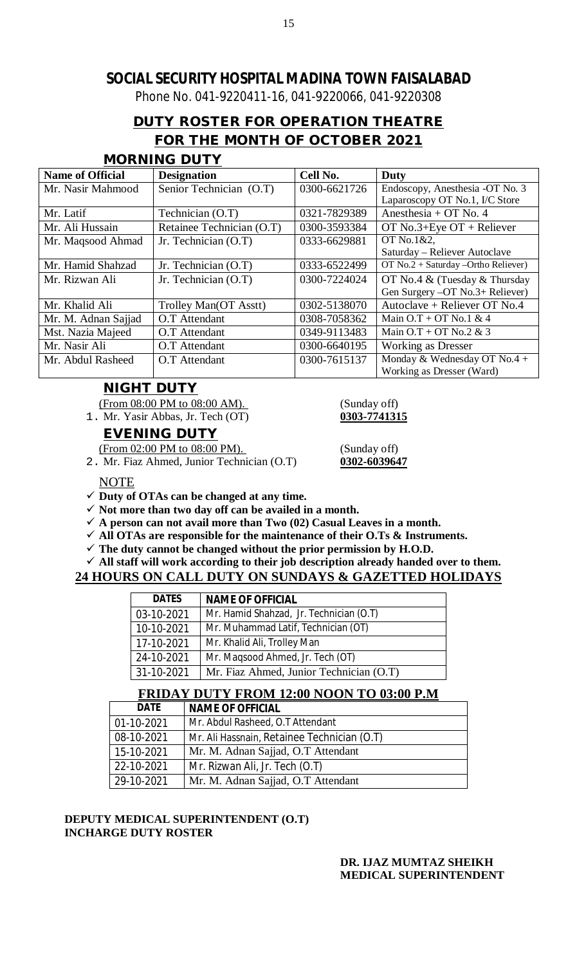Phone No. 041-9220411-16, 041-9220066, 041-9220308

# **DUTY ROSTER FOR OPERATION THEATRE FOR THE MONTH OF OCTOBER 2021**

### **MORNING DUTY**

| <b>Name of Official</b> | <b>Designation</b>        | Cell No.     | Duty                                  |
|-------------------------|---------------------------|--------------|---------------------------------------|
| Mr. Nasir Mahmood       | Senior Technician (O.T)   | 0300-6621726 | Endoscopy, Anesthesia -OT No. 3       |
|                         |                           |              | Laparoscopy OT No.1, I/C Store        |
| Mr. Latif               | Technician (O.T)          | 0321-7829389 | Anesthesia + OT No. $4$               |
| Mr. Ali Hussain         | Retainee Technician (O.T) | 0300-3593384 | OT No.3+Eye $OT +$ Reliever           |
| Mr. Maqsood Ahmad       | Jr. Technician (O.T)      | 0333-6629881 | OT No.1&2,                            |
|                         |                           |              | Saturday – Reliever Autoclave         |
| Mr. Hamid Shahzad       | Jr. Technician (O.T)      | 0333-6522499 | OT $No.2 + Saturday -Ortho$ Reliever) |
| Mr. Rizwan Ali          | Jr. Technician $(O.T)$    | 0300-7224024 | OT No.4 $&$ (Tuesday $&$ Thursday     |
|                         |                           |              | Gen Surgery -OT No.3+ Reliever)       |
| Mr. Khalid Ali          | Trolley Man(OT Asstt)     | 0302-5138070 | Autoclave + Reliever OT No.4          |
| Mr. M. Adnan Sajjad     | O.T Attendant             | 0308-7058362 | Main $O.T + OT$ No.1 & 4              |
| Mst. Nazia Majeed       | O.T Attendant             | 0349-9113483 | Main $O.T + OT$ No.2 & 3              |
| Mr. Nasir Ali           | O.T Attendant             | 0300-6640195 | <b>Working as Dresser</b>             |
| Mr. Abdul Rasheed       | O.T Attendant             | 0300-7615137 | Monday & Wednesday OT No.4 +          |
|                         |                           |              | Working as Dresser (Ward)             |

### **NIGHT DUTY**

(From 08:00 PM to 08:00 AM). (Sunday off)<br>Mr. Yasir Abbas, Jr. Tech (OT) (303-7741315

1. Mr. Yasir Abbas, Jr. Tech (OT) **0303-7741315**

### **EVENING DUTY**

(From 02:00 PM to 08:00 PM). (Sunday off)

2. Mr. Fiaz Ahmed, Junior Technician (O.T) **0302-6039647**

NOTE

- **Duty of OTAs can be changed at any time.**
- $\checkmark$  Not more than two day off can be availed in a month.
- $\checkmark$  A person can not avail more than Two  $(02)$  Casual Leaves in a month.
- **All OTAs are responsible for the maintenance of their O.Ts & Instruments.**
- **The duty cannot be changed without the prior permission by H.O.D.**

### **All staff will work according to their job description already handed over to them.**

### **24 HOURS ON CALL DUTY ON SUNDAYS & GAZETTED HOLIDAYS**

| <b>DATES</b> | <b>NAME OF OFFICIAL</b>                 |
|--------------|-----------------------------------------|
| 03-10-2021   | Mr. Hamid Shahzad, Jr. Technician (O.T) |
| 10-10-2021   | Mr. Muhammad Latif, Technician (OT)     |
| 17-10-2021   | Mr. Khalid Ali, Trolley Man             |
| 24-10-2021   | Mr. Maqsood Ahmed, Jr. Tech (OT)        |
| 31-10-2021   | Mr. Fiaz Ahmed, Junior Technician (O.T) |

### **FRIDAY DUTY FROM 12:00 NOON TO 03:00 P.M**

| <b>DATE</b>   | <b>NAME OF OFFICIAL</b>                     |
|---------------|---------------------------------------------|
| $ 01-10-2021$ | Mr. Abdul Rasheed, O.T Attendant            |
| 08-10-2021    | Mr. Ali Hassnain, Retainee Technician (O.T) |
| 15-10-2021    | Mr. M. Adnan Sajjad, O.T Attendant          |
| 22-10-2021    | Mr. Rizwan Ali, Jr. Tech (O.T)              |
| 29-10-2021    | Mr. M. Adnan Sajjad, O.T Attendant          |

### **DEPUTY MEDICAL SUPERINTENDENT (O.T) INCHARGE DUTY ROSTER**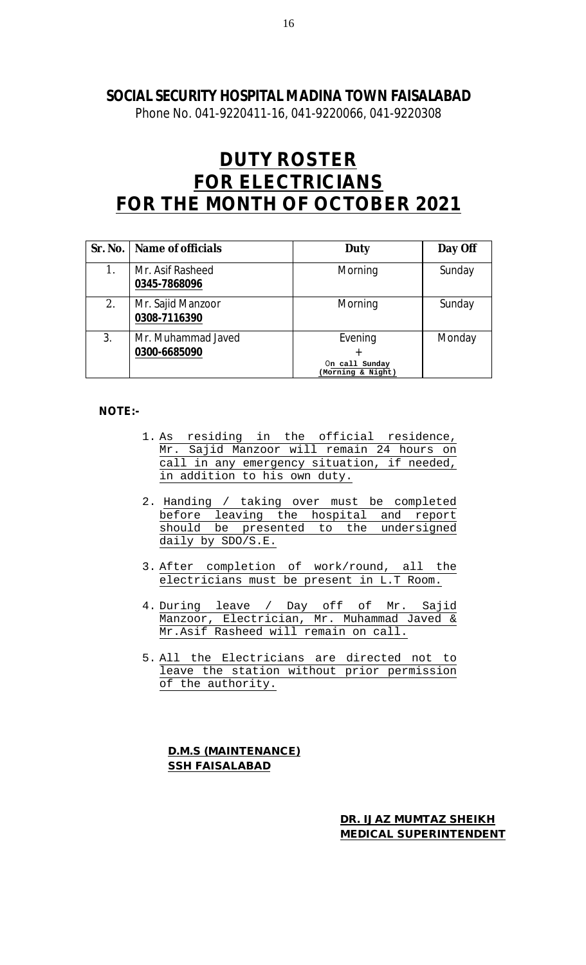Phone No. 041-9220411-16, 041-9220066, 041-9220308

# **DUTY ROSTER FOR ELECTRICIANS FOR THE MONTH OF OCTOBER 2021**

|    | Sr. No.   Name of officials        | <b>Duty</b>                                         | Day Off |
|----|------------------------------------|-----------------------------------------------------|---------|
| 1. | Mr. Asif Rasheed<br>0345-7868096   | Morning                                             | Sunday  |
| 2. | Mr. Sajid Manzoor<br>0308-7116390  | Morning                                             | Sunday  |
| 3. | Mr. Muhammad Javed<br>0300-6685090 | Evening<br>÷<br>On call Sunday<br>(Morning & Night) | Monday  |

#### **NOTE:-**

- 1. As residing in the official residence, Mr. Sajid Manzoor will remain 24 hours on call in any emergency situation, if needed, in addition to his own duty.
- 2. Handing / taking over must be completed before leaving the hospital and report should be presented to the undersigned daily by SDO/S.E.
- 3. After completion of work/round, all the electricians must be present in L.T Room.
- 4. During leave / Day off of Mr. Sajid Manzoor, Electrician, Mr. Muhammad Javed & Mr.Asif Rasheed will remain on call.
- 5. All the Electricians are directed not to leave the station without prior permission of the authority.

### **D.M.S (MAINTENANCE) SSH FAISALABAD**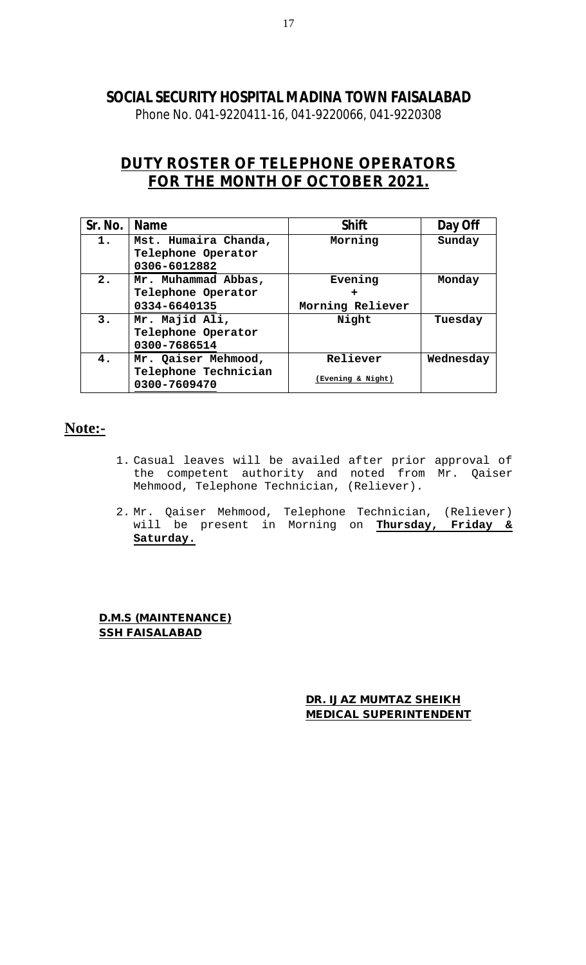Phone No. 041-9220411-16, 041-9220066, 041-9220308

# **DUTY ROSTER OF TELEPHONE OPERATORS FOR THE MONTH OF OCTOBER 2021.**

| Sr. No. | <b>Name</b>                                                 | <b>Shift</b>                  | Day Off   |
|---------|-------------------------------------------------------------|-------------------------------|-----------|
| 1.      | Mst. Humaira Chanda,<br>Telephone Operator<br>0306-6012882  | Morning                       | Sunday    |
| 2.      | Mr. Muhammad Abbas,<br>Telephone Operator<br>0334-6640135   | Evening<br>Morning Reliever   | Monday    |
| 3.      | Mr. Majid Ali,<br>Telephone Operator<br>0300-7686514        | Night                         | Tuesday   |
| 4.      | Mr. Qaiser Mehmood,<br>Telephone Technician<br>0300-7609470 | Reliever<br>(Evening & Night) | Wednesday |

# **Note:-**

- 1. Casual leaves will be availed after prior approval of the competent authority and noted from Mr. Qaiser Mehmood, Telephone Technician, (Reliever).
- 2. Mr. Qaiser Mehmood, Telephone Technician, (Reliever) will be present in Morning on **Thursday, Friday & Saturday.**

**D.M.S (MAINTENANCE) SSH FAISALABAD**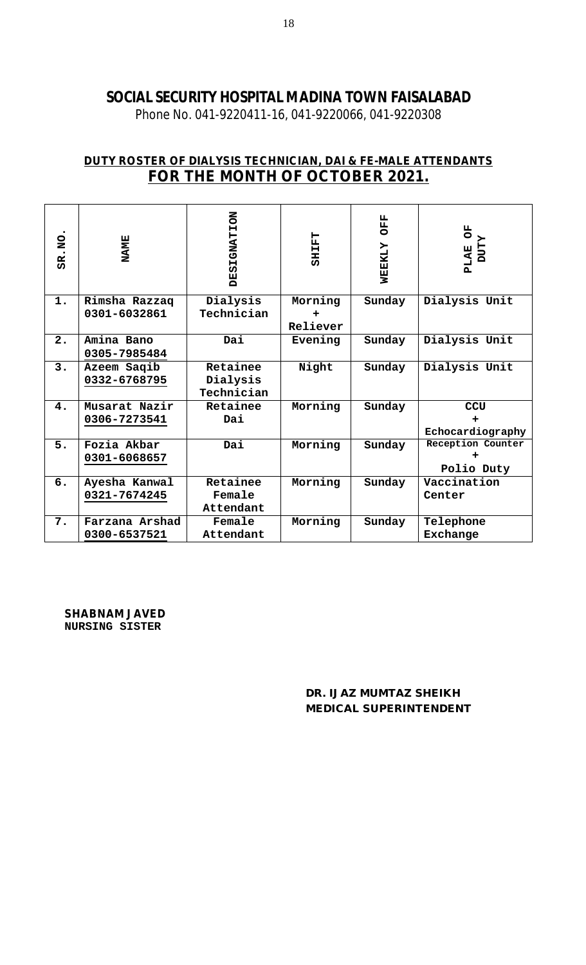Phone No. 041-9220411-16, 041-9220066, 041-9220308

# **DUTY ROSTER OF DIALYSIS TECHNICIAN, DAI & FE-MALE ATTENDANTS FOR THE MONTH OF OCTOBER 2021.**

| SR.NO | <b>NAME</b>    | <b>DESIGNATION</b> | <b>CHILET</b> | <b>OFF</b><br><b>MEEKLY</b> | FO<br><b>ZLLOC</b><br><b>PLAE</b> |
|-------|----------------|--------------------|---------------|-----------------------------|-----------------------------------|
| 1.    | Rimsha Razzaq  | Dialysis           | Morning       | Sunday                      | Dialysis Unit                     |
|       | 0301-6032861   | Technician         |               |                             |                                   |
|       |                |                    | Reliever      |                             |                                   |
| 2.    | Amina Bano     | Dai                | Evening       | Sunday                      | Dialysis Unit                     |
|       | 0305-7985484   |                    |               |                             |                                   |
| 3.    | Azeem Saqib    | Retainee           | Night         | Sunday                      | Dialysis Unit                     |
|       | 0332-6768795   | Dialysis           |               |                             |                                   |
|       |                | Technician         |               |                             |                                   |
| 4.    | Musarat Nazir  | Retainee           | Morning       | Sunday                      | <b>CCU</b>                        |
|       | 0306-7273541   | Dai                |               |                             |                                   |
|       |                |                    |               |                             | Echocardiography                  |
| 5.    | Fozia Akbar    | Dai                | Morning       | Sunday                      | Reception Counter                 |
|       | 0301-6068657   |                    |               |                             |                                   |
|       |                |                    |               |                             | Polio Duty                        |
| 6.    | Ayesha Kanwal  | Retainee           | Morning       | Sunday                      | Vaccination                       |
|       | 0321-7674245   | Female             |               |                             | Center                            |
|       |                | Attendant          |               |                             |                                   |
| 7.    | Farzana Arshad | Female             | Morning       | Sunday                      | Telephone                         |
|       | 0300-6537521   | Attendant          |               |                             | Exchange                          |

**SHABNAM JAVED NURSING SISTER**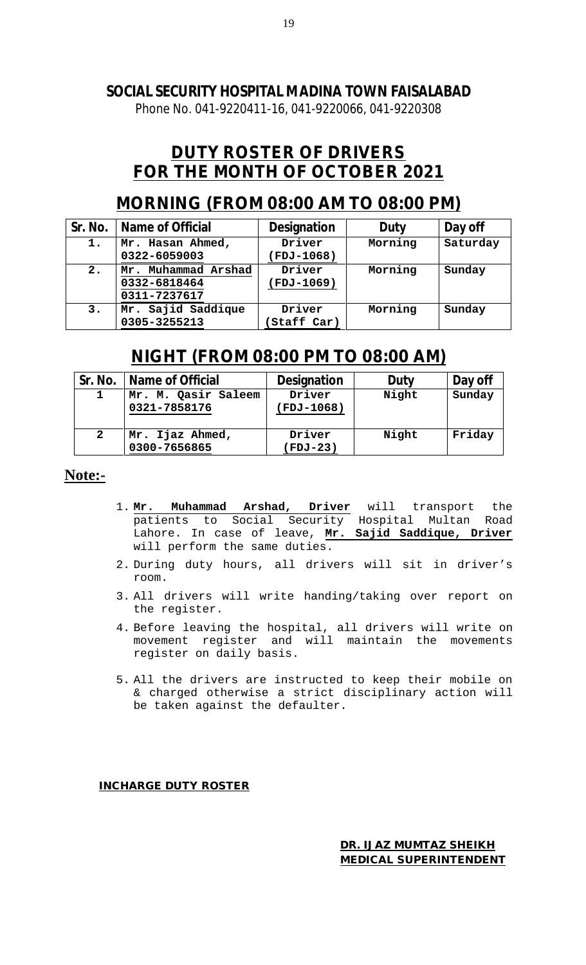Phone No. 041-9220411-16, 041-9220066, 041-9220308

# **DUTY ROSTER OF DRIVERS FOR THE MONTH OF OCTOBER 2021**

# **MORNING (FROM 08:00 AM TO 08:00 PM)**

| Sr. No. | Name of Official                                       | <b>Designation</b>         |         | Day off  |
|---------|--------------------------------------------------------|----------------------------|---------|----------|
| 1.      | Mr. Hasan Ahmed,<br>0322-6059003                       | Driver<br><b>FDJ-1068)</b> | Morning | Saturday |
| 2.      | Muhammad Arshad<br>Mr.<br>0332-6818464<br>0311-7237617 | Driver<br>(FDJ-1069)       | Morning | Sunday   |
| 3.      | Mr. Sajid Saddique<br>0305-3255213                     | Driver<br>Staff Car)       | Morning | Sunday   |

# **NIGHT (FROM 08:00 PM TO 08:00 AM)**

| Sr. No.      | Name of Official                    | <b>Designation</b>  | Duty  | Day off |
|--------------|-------------------------------------|---------------------|-------|---------|
|              | Mr. M. Qasir Saleem<br>0321-7858176 | Driver<br>FDJ-1068) | Night | Sunday  |
| $\mathbf{2}$ | Mr. Ijaz Ahmed,<br>0300-7656865     | Driver<br>(FDJ-23)  | Night | Friday  |

### **Note:-**

- 1. **Mr. Muhammad Arshad, Driver** will transport the patients to Social Security Hospital Multan Road Lahore. In case of leave, **Mr. Sajid Saddique, Driver** will perform the same duties.
- 2. During duty hours, all drivers will sit in driver's room.
- 3. All drivers will write handing/taking over report on the register.
- 4. Before leaving the hospital, all drivers will write on movement register and will maintain the movements register on daily basis.
- 5. All the drivers are instructed to keep their mobile on & charged otherwise a strict disciplinary action will be taken against the defaulter.

**INCHARGE DUTY ROSTER**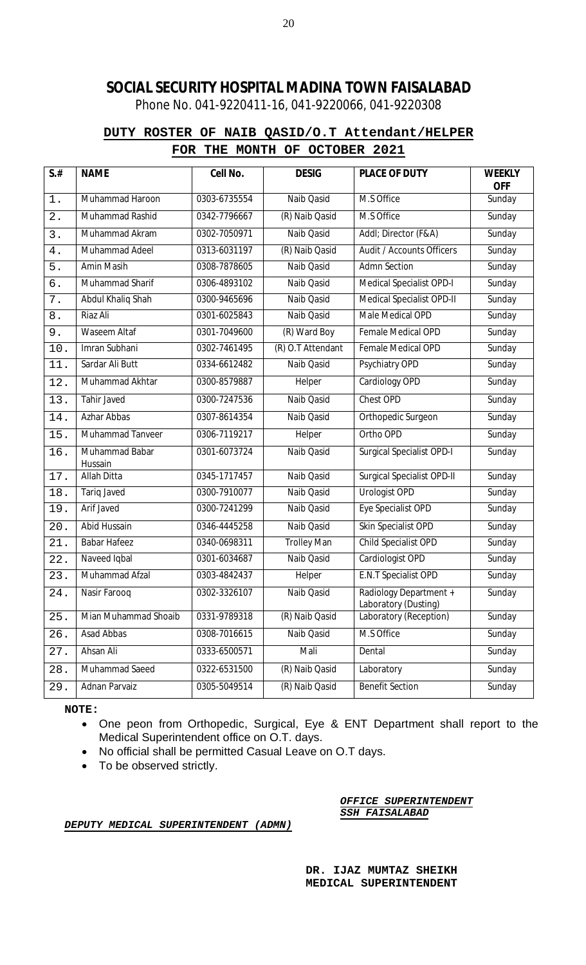Phone No. 041-9220411-16, 041-9220066, 041-9220308

### **DUTY ROSTER OF NAIB QASID/O.T Attendant/HELPER FOR THE MONTH OF OCTOBER 2021**

| $S$ .#            | <b>NAME</b>               | Cell No.     | <b>DESIG</b>       | <b>PLACE OF DUTY</b>                           | <b>WEEKLY</b><br><b>OFF</b> |
|-------------------|---------------------------|--------------|--------------------|------------------------------------------------|-----------------------------|
| $1$ .             | Muhammad Haroon           | 0303-6735554 | Naib Qasid         | M.S Office                                     | Sunday                      |
| 2.                | Muhammad Rashid           | 0342-7796667 | (R) Naib Qasid     | M.S Office                                     | Sunday                      |
| 3.                | Muhammad Akram            | 0302-7050971 | Naib Qasid         | Addl; Director (F&A)                           | Sunday                      |
| 4.                | Muhammad Adeel            | 0313-6031197 | (R) Naib Qasid     | Audit / Accounts Officers                      | Sunday                      |
| 5.                | Amin Masih                | 0308-7878605 | Naib Qasid         | <b>Admn Section</b>                            | Sunday                      |
| б.                | Muhammad Sharif           | 0306-4893102 | Naib Qasid         | Medical Specialist OPD-I                       | Sunday                      |
| 7.                | Abdul Khaliq Shah         | 0300-9465696 | Naib Qasid         | <b>Medical Specialist OPD-II</b>               | Sunday                      |
| $8$ .             | Riaz Ali                  | 0301-6025843 | Naib Qasid         | Male Medical OPD                               | Sunday                      |
| 9.                | Waseem Altaf              | 0301-7049600 | (R) Ward Boy       | Female Medical OPD                             | Sunday                      |
| $10.$             | Imran Subhani             | 0302-7461495 | (R) O.T Attendant  | Female Medical OPD                             | Sunday                      |
| 11.               | Sardar Ali Butt           | 0334-6612482 | Naib Qasid         | Psychiatry OPD                                 | Sunday                      |
| 12.               | Muhammad Akhtar           | 0300-8579887 | Helper             | Cardiology OPD                                 | Sunday                      |
| 13.               | Tahir Javed               | 0300-7247536 | Naib Qasid         | Chest OPD                                      | Sunday                      |
| 14.               | <b>Azhar Abbas</b>        | 0307-8614354 | Naib Qasid         | Orthopedic Surgeon                             | Sunday                      |
| 15.               | Muhammad Tanveer          | 0306-7119217 | Helper             | Ortho OPD                                      | Sunday                      |
| 16.               | Muhammad Babar<br>Hussain | 0301-6073724 | Naib Qasid         | <b>Surgical Specialist OPD-I</b>               | Sunday                      |
| 17.               | Allah Ditta               | 0345-1717457 | Naib Qasid         | <b>Surgical Specialist OPD-II</b>              | Sunday                      |
| 18.               | <b>Tariq Javed</b>        | 0300-7910077 | Naib Qasid         | <b>Urologist OPD</b>                           | Sunday                      |
| 19.               | Arif Javed                | 0300-7241299 | Naib Qasid         | Eye Specialist OPD                             | Sunday                      |
| 20.               | <b>Abid Hussain</b>       | 0346-4445258 | Naib Qasid         | Skin Specialist OPD                            | Sunday                      |
| 21.               | <b>Babar Hafeez</b>       | 0340-0698311 | <b>Trolley Man</b> | Child Specialist OPD                           | Sunday                      |
| 22.               | Naveed Iqbal              | 0301-6034687 | Naib Qasid         | Cardiologist OPD                               | Sunday                      |
| 23.               | Muhammad Afzal            | 0303-4842437 | Helper             | E.N.T Specialist OPD                           | Sunday                      |
| $\overline{24}$ . | Nasir Farooq              | 0302-3326107 | Naib Qasid         | Radiology Department +<br>Laboratory (Dusting) | Sunday                      |
| 25.               | Mian Muhammad Shoaib      | 0331-9789318 | (R) Naib Qasid     | Laboratory (Reception)                         | Sunday                      |
| 26.               | Asad Abbas                | 0308-7016615 | Naib Qasid         | M.S Office                                     | Sunday                      |
| 27.               | Ahsan Ali                 | 0333-6500571 | Mali               | Dental                                         | Sunday                      |
| 28.               | Muhammad Saeed            | 0322-6531500 | (R) Naib Qasid     | Laboratory                                     | Sunday                      |
| 29.               | Adnan Parvaiz             | 0305-5049514 | (R) Naib Qasid     | <b>Benefit Section</b>                         | Sunday                      |

**NOTE:** 

- One peon from Orthopedic, Surgical, Eye & ENT Department shall report to the Medical Superintendent office on O.T. days.
- No official shall be permitted Casual Leave on O.T days.
- To be observed strictly.

#### *OFFICE SUPERINTENDENT SSH FAISALABAD*

#### *DEPUTY MEDICAL SUPERINTENDENT (ADMN)*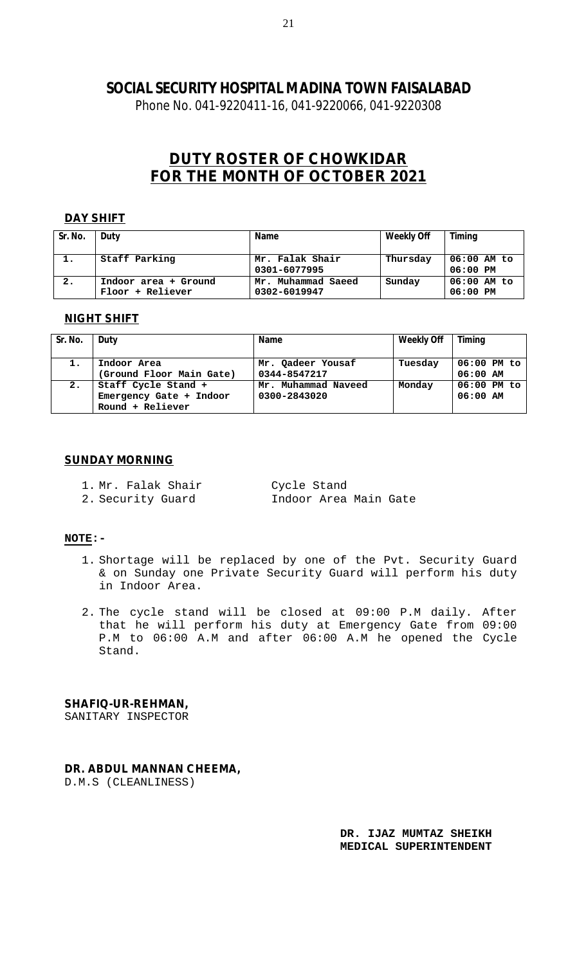Phone No. 041-9220411-16, 041-9220066, 041-9220308

# **DUTY ROSTER OF CHOWKIDAR FOR THE MONTH OF OCTOBER 2021**

#### **DAY SHIFT**

| Sr. No. | Duty                                     | <b>Name</b>                        | <b>Weekly Off</b> | Timing                    |
|---------|------------------------------------------|------------------------------------|-------------------|---------------------------|
| 1.      | Staff Parking                            | Mr. Falak Shair<br>0301-6077995    | Thursday          | 06:00 AM to<br>$06:00$ PM |
| 2.      | Indoor area + Ground<br>Floor + Reliever | Mr. Muhammad Saeed<br>0302-6019947 | Sunday            | $06:00$ AM to<br>06:00 PM |

#### **NIGHT SHIFT**

| Sr. No. | Duty                                                               | <b>Name</b>                         | <b>Weekly Off</b> | <b>Timing</b>               |
|---------|--------------------------------------------------------------------|-------------------------------------|-------------------|-----------------------------|
| 1.      | Indoor Area<br>(Ground Floor Main Gate)                            | Mr. Qadeer Yousaf<br>0344-8547217   | Tuesday           | $06:00$ PM to<br>$06:00$ AM |
| 2.      | Staff Cycle Stand +<br>Emergency Gate + Indoor<br>Round + Reliever | Mr. Muhammad Naveed<br>0300-2843020 | Monday            | $06:00$ PM to<br>$06:00$ AM |

#### **SUNDAY MORNING**

1. Mr. Falak Shair Cycle Stand

2. Security Guard Indoor Area Main Gate

#### **NOTE:-**

- 1. Shortage will be replaced by one of the Pvt. Security Guard & on Sunday one Private Security Guard will perform his duty in Indoor Area.
- 2. The cycle stand will be closed at 09:00 P.M daily. After that he will perform his duty at Emergency Gate from 09:00 P.M to 06:00 A.M and after 06:00 A.M he opened the Cycle Stand.

#### **SHAFIQ-UR-REHMAN,**

SANITARY INSPECTOR

#### **DR. ABDUL MANNAN CHEEMA,**

D.M.S (CLEANLINESS)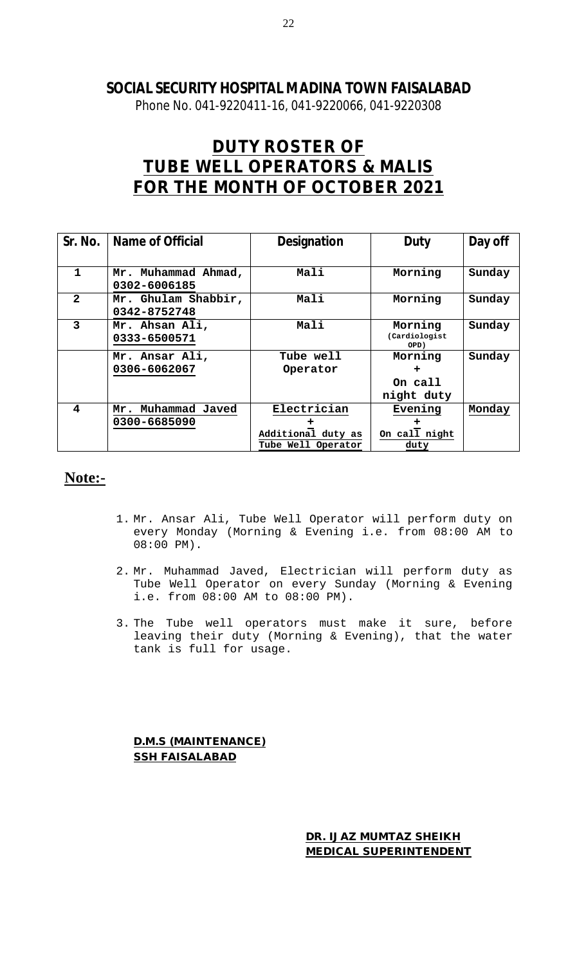Phone No. 041-9220411-16, 041-9220066, 041-9220308

# **DUTY ROSTER OF TUBE WELL OPERATORS & MALIS FOR THE MONTH OF OCTOBER 2021**

| Sr. No.      | <b>Name of Official</b> | <b>Designation</b> | <b>Duty</b>   | Day off |
|--------------|-------------------------|--------------------|---------------|---------|
|              |                         |                    |               |         |
| 1            | Mr. Muhammad Ahmad,     | Mali               | Morning       | Sunday  |
|              | 0302-6006185            |                    |               |         |
| $\mathbf{2}$ | Mr. Ghulam Shabbir,     | Mali               | Morning       | Sunday  |
|              | 0342-8752748            |                    |               |         |
| 3            | Mr. Ahsan Ali,          | Mali               | Morning       | Sunday  |
|              | 0333-6500571            |                    | (Cardiologist |         |
|              |                         |                    | OPD)          |         |
|              | Mr. Ansar Ali,          | Tube well          | Morning       | Sunday  |
|              | 0306-6062067            | Operator           | ÷             |         |
|              |                         |                    | On call       |         |
|              |                         |                    | night duty    |         |
| 4            | Mr. Muhammad Javed      | Electrician        | Evening       | Monday  |
|              | 0300-6685090            |                    |               |         |
|              |                         | Additional duty as | On call night |         |
|              |                         | Tube Well Operator | duty          |         |

# **Note:-**

- 1. Mr. Ansar Ali, Tube Well Operator will perform duty on every Monday (Morning & Evening i.e. from 08:00 AM to 08:00 PM).
- 2. Mr. Muhammad Javed, Electrician will perform duty as Tube Well Operator on every Sunday (Morning & Evening i.e. from 08:00 AM to 08:00 PM).
- 3. The Tube well operators must make it sure, before leaving their duty (Morning & Evening), that the water tank is full for usage.

**D.M.S (MAINTENANCE) SSH FAISALABAD**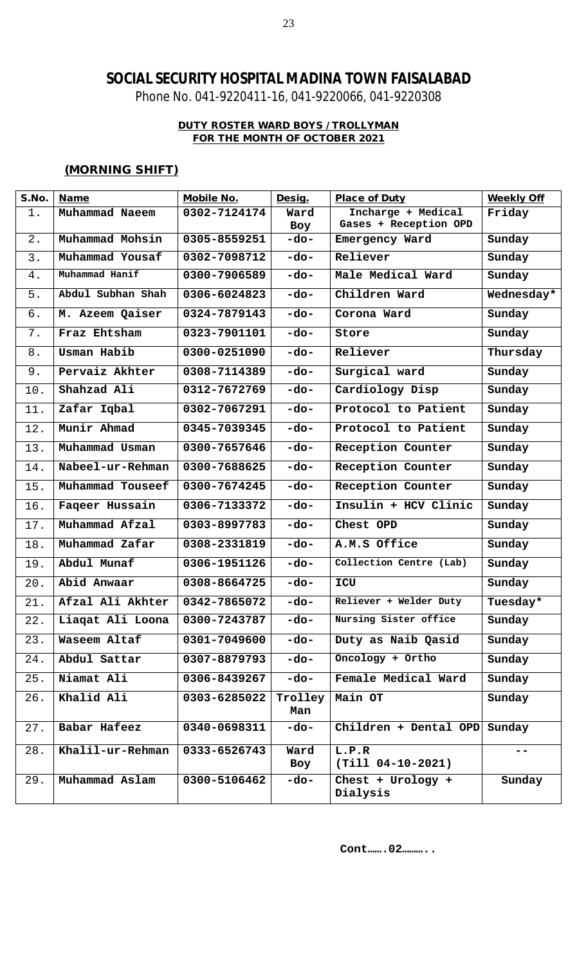Phone No. 041-9220411-16, 041-9220066, 041-9220308

### **DUTY ROSTER WARD BOYS / TROLLYMAN FOR THE MONTH OF OCTOBER 2021**

### **(MORNING SHIFT)**

| S.No. | <b>Name</b>       | <b>Mobile No.</b> | Desig.         | <b>Place of Duty</b>          | <b>Weekly Off</b> |
|-------|-------------------|-------------------|----------------|-------------------------------|-------------------|
| 1.    | Muhammad Naeem    | 0302-7124174      | Ward           | Incharge + Medical            | Friday            |
|       |                   |                   | Boy            | Gases + Reception OPD         |                   |
| 2.    | Muhammad Mohsin   | 0305-8559251      | $-do-$         | Emergency Ward                | Sunday            |
| 3.    | Muhammad Yousaf   | 0302-7098712      | $-do-$         | Reliever                      | Sunday            |
| $4$ . | Muhammad Hanif    | 0300-7906589      | $-do-$         | Male Medical Ward             | Sunday            |
| 5.    | Abdul Subhan Shah | 0306-6024823      | $-do-$         | Children Ward                 | Wednesday*        |
| б.    | M. Azeem Qaiser   | 0324-7879143      | $-do-$         | Corona Ward                   | Sunday            |
| 7.    | Fraz Ehtsham      | 0323-7901101      | $-do-$         | Store                         | Sunday            |
| 8.    | Usman Habib       | 0300-0251090      | $-do-$         | Reliever                      | Thursday          |
| 9.    | Pervaiz Akhter    | 0308-7114389      | $-do-$         | Surgical ward                 | Sunday            |
| 10.   | Shahzad Ali       | 0312-7672769      | $-do-$         | Cardiology Disp               | Sunday            |
| 11.   | Zafar Iqbal       | 0302-7067291      | $-do-$         | Protocol to Patient           | Sunday            |
| 12.   | Munir Ahmad       | 0345-7039345      | $-do-$         | Protocol to Patient           | Sunday            |
| 13.   | Muhammad Usman    | 0300-7657646      | $-do-$         | Reception Counter             | Sunday            |
| 14.   | Nabeel-ur-Rehman  | 0300-7688625      | $-do-$         | Reception Counter             | Sunday            |
| 15.   | Muhammad Touseef  | 0300-7674245      | $-do-$         | Reception Counter             | Sunday            |
| 16.   | Faqeer Hussain    | 0306-7133372      | $-do-$         | Insulin + HCV Clinic          | Sunday            |
| 17.   | Muhammad Afzal    | 0303-8997783      | $-do-$         | Chest OPD                     | Sunday            |
| 18.   | Muhammad Zafar    | 0308-2331819      | $-do-$         | A.M.S Office                  | Sunday            |
| 19.   | Abdul Munaf       | 0306-1951126      | $-do-$         | Collection Centre (Lab)       | Sunday            |
| 20.   | Abid Anwaar       | 0308-8664725      | $-do-$         | ICU                           | Sunday            |
| 21.   | Afzal Ali Akhter  | 0342-7865072      | -do-           | Reliever + Welder Duty        | Tuesday*          |
| 22.   | Liaqat Ali Loona  | 0300-7243787      | $-do-$         | Nursing Sister office         | Sunday            |
| 23.   | Waseem Altaf      | 0301-7049600      | -do-           | Duty as Naib Qasid            | Sunday            |
| 24.   | Abdul Sattar      | 0307-8879793      | $-do-$         | Oncology + Ortho              | Sunday            |
| 25.   | Niamat Ali        | 0306-8439267      | -do-           | Female Medical Ward           | Sunday            |
| 26.   | Khalid Ali        | 0303-6285022      | Trolley<br>Man | Main OT                       | Sunday            |
| 27.   | Babar Hafeez      | 0340-0698311      | -do-           | $Children + Dental OPD$       | Sunday            |
| 28.   | Khalil-ur-Rehman  | 0333-6526743      | Ward<br>Boy    | L.P.R<br>$(Till 04-10-2021)$  | $- -$             |
| 29.   | Muhammad Aslam    | 0300-5106462      | -do-           | Chest + Urology +<br>Dialysis | Sunday            |

**Cont…….02………..**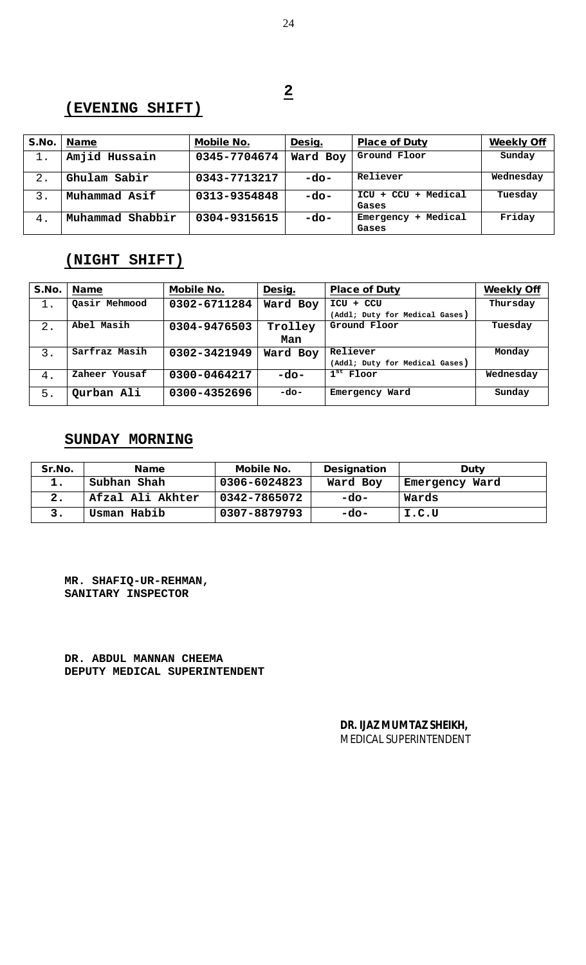### **(EVENING SHIFT)**

| S.No. | <b>Name</b>         | <b>Mobile No.</b> | Desig.   | <b>Place of Duty</b>                     | <b>Weekly Off</b> |
|-------|---------------------|-------------------|----------|------------------------------------------|-------------------|
| 1.    | Amjid Hussain       | 0345-7704674      | Ward Boy | Ground Floor                             | Sunday            |
| $2$ . | Ghulam Sabir        | 0343-7713217      | -do-     | Reliever                                 | Wednesday         |
| 3.    | Muhammad Asif       | 0313-9354848      | $-do-$   | Medical<br>$ICU + CCU$<br>$\pm$<br>Gases | Tuesday           |
| 4.    | Shabbir<br>Muhammad | 0304-9315615      | $-do-$   | Medical<br>Emergency<br>÷.<br>Gases      | Friday            |

### **(NIGHT SHIFT)**

| S.No. | <b>Name</b>   | <b>Mobile No.</b> | Desig.   | <b>Place of Duty</b>           | <b>Weekly Off</b> |
|-------|---------------|-------------------|----------|--------------------------------|-------------------|
| 1.    | Qasir Mehmood | 0302-6711284      | Ward Boy | ICU + CCU                      | Thursday          |
|       |               |                   |          | (Addl; Duty for Medical Gases) |                   |
| $2$ . | Abel Masih    | 0304-9476503      | Trolley  | Ground Floor                   | Tuesday           |
|       |               |                   | Man      |                                |                   |
| 3.    | Sarfraz Masih | 0302-3421949      | Ward Boy | Reliever                       | Monday            |
|       |               |                   |          | (Addl; Duty for Medical Gases) |                   |
| 4.    | Zaheer Yousaf | 0300-0464217      | -do-     | $1st$ Floor                    | Wednesday         |
| 5.    | Qurban Ali    | 0300-4352696      | $-do-$   | Emergency Ward                 | Sunday            |

# **SUNDAY MORNING**

| Sr.No. | <b>Name</b>      | <b>Mobile No.</b> | <b>Designation</b> | <b>Duty</b>    |
|--------|------------------|-------------------|--------------------|----------------|
| ı.     | Subhan Shah      | 0306-6024823      | Ward Boy           | Emergency Ward |
|        | Afzal Ali Akhter | 0342-7865072      | $-do-$             | Wards          |
|        | Usman Habib      | 0307-8879793      | $-do-$             | I.C.U          |

**MR. SHAFIQ-UR-REHMAN, SANITARY INSPECTOR**

**DR. ABDUL MANNAN CHEEMA DEPUTY MEDICAL SUPERINTENDENT**

> **DR. IJAZ MUMTAZ SHEIKH,**  MEDICAL SUPERINTENDENT

**2**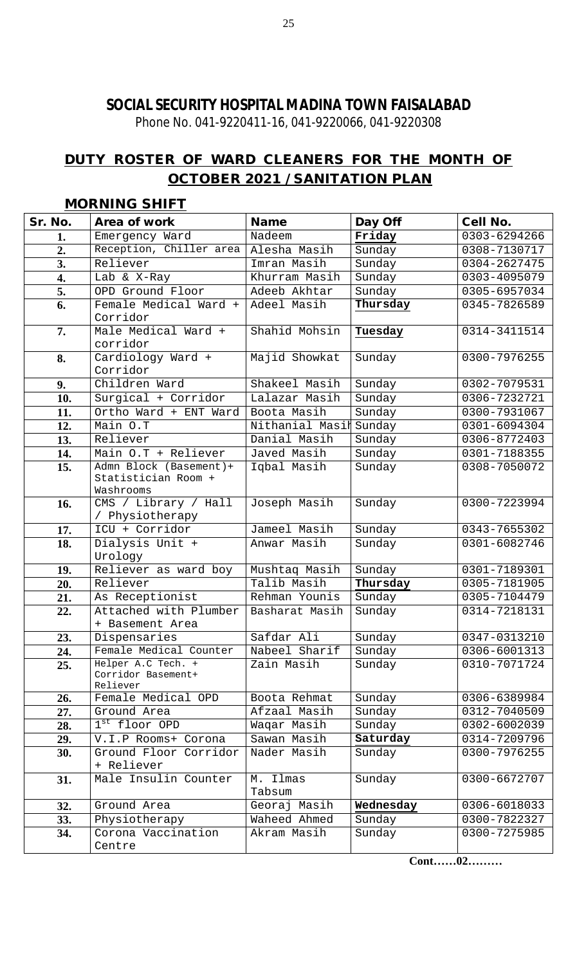Phone No. 041-9220411-16, 041-9220066, 041-9220308

# **DUTY ROSTER OF WARD CLEANERS FOR THE MONTH OF OCTOBER 2021 / SANITATION PLAN**

| Sr. No.          | Area of work                      | <b>Name</b>     | Day Off   | <b>Cell No.</b> |
|------------------|-----------------------------------|-----------------|-----------|-----------------|
| 1.               | Emergency Ward                    | Nadeem          | Friday    | 0303-6294266    |
| $\overline{2}$ . | Reception, Chiller area           | Alesha Masih    | Sunday    | 0308-7130717    |
| 3.               | Reliever                          | Imran Masih     | Sunday    | 0304-2627475    |
| 4.               | Lab & X-Ray                       | Khurram Masih   | Sunday    | 0303-4095079    |
| 5.               | OPD Ground Floor                  | Adeeb Akhtar    | Sunday    | 0305-6957034    |
| 6.               | Female Medical Ward +             | Adeel Masih     | Thursday  | 0345-7826589    |
|                  | Corridor                          |                 |           |                 |
| 7.               | Male Medical Ward +               | Shahid Mohsin   | Tuesday   | 0314-3411514    |
|                  | corridor                          |                 |           |                 |
| 8.               | Cardiology Ward +                 | Majid Showkat   | Sunday    | 0300-7976255    |
|                  | Corridor                          |                 |           |                 |
| 9.               | Children Ward                     | Shakeel Masih   | Sunday    | 0302-7079531    |
| 10.              | Surgical + Corridor               | Lalazar Masih   | Sunday    | 0306-7232721    |
| 11.              | Ortho Ward + ENT Ward             | Boota Masih     | Sunday    | 0300-7931067    |
| 12.              | Main O.T                          | Nithanial Masil | Sunday    | 0301-6094304    |
| 13.              | Reliever                          | Danial Masih    | Sunday    | 0306-8772403    |
| 14.              | Main 0.T + Reliever               | Javed Masih     | Sunday    | 0301-7188355    |
| 15.              | Admn Block (Basement)+            | Iqbal Masih     | Sunday    | 0308-7050072    |
|                  | Statistician Room +               |                 |           |                 |
|                  | Washrooms                         |                 |           |                 |
| 16.              | CMS / Library / Hall              | Joseph Masih    | Sunday    | 0300-7223994    |
|                  | / Physiotherapy<br>ICU + Corridor | Jameel Masih    | Sunday    | 0343-7655302    |
| 17.              |                                   |                 |           | 0301-6082746    |
| 18.              | Dialysis Unit +<br>Urology        | Anwar Masih     | Sunday    |                 |
| 19.              | Reliever as ward boy              | Mushtaq Masih   | Sunday    | 0301-7189301    |
| 20.              | Reliever                          | Talib Masih     | Thursday  | 0305-7181905    |
| 21.              | As Receptionist                   | Rehman Younis   | Sunday    | 0305-7104479    |
| 22.              | Attached with Plumber             | Basharat Masih  | Sunday    | 0314-7218131    |
|                  | + Basement Area                   |                 |           |                 |
| 23.              | Dispensaries                      | Safdar Ali      | Sunday    | 0347-0313210    |
| 24.              | Female Medical Counter            | Nabeel Sharif   | Sunday    | 0306-6001313    |
| 25.              | Helper A.C Tech. +                | Zain Masih      | Sunday    | 0310-7071724    |
|                  | Corridor Basement+                |                 |           |                 |
|                  | Reliever                          |                 |           |                 |
| 26.              | Female Medical OPD                | Boota Rehmat    | Sunday    | 0306-6389984    |
| 27.              | Ground Area                       | Afzaal Masih    | Sunday    | 0312-7040509    |
| 28.              | 1st floor OPD                     | Waqar Masih     | Sunday    | 0302-6002039    |
| 29.              | V.I.P Rooms+ Corona               | Sawan Masih     | Saturday  | 0314-7209796    |
| 30.              | Ground Floor Corridor             | Nader Masih     | Sunday    | 0300-7976255    |
|                  | + Reliever                        |                 |           |                 |
| 31.              | Male Insulin Counter              | M. Ilmas        | Sunday    | 0300-6672707    |
|                  |                                   | Tabsum          |           |                 |
| 32.              | Ground Area                       | Georaj Masih    | Wednesday | 0306-6018033    |
| 33.              | Physiotherapy                     | Waheed Ahmed    | Sunday    | 0300-7822327    |
| 34.              | Corona Vaccination                | Akram Masih     | Sunday    | 0300-7275985    |
|                  | Centre                            |                 |           |                 |

### **MORNING SHIFT**

**Cont……02………**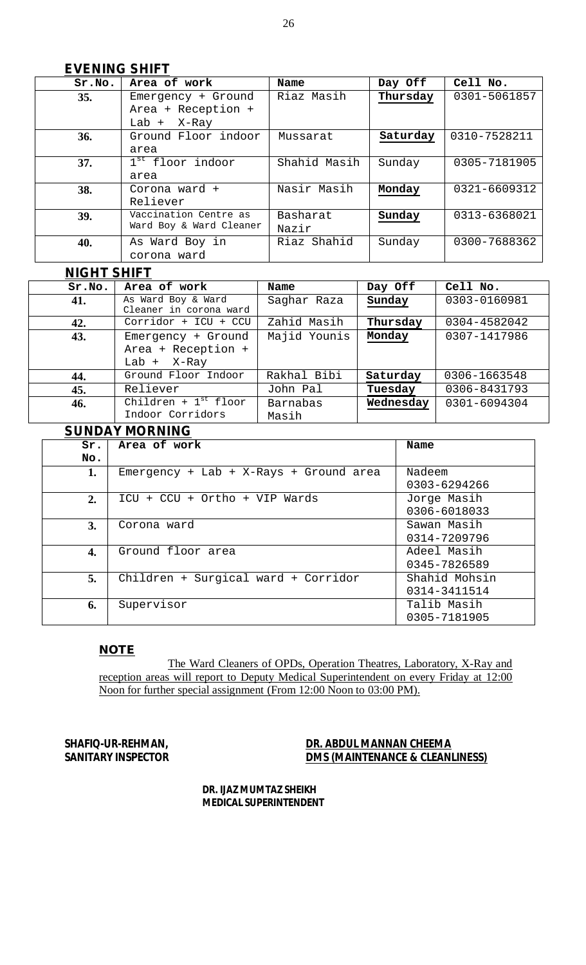### **EVENING SHIFT**

| Sr.No. | Area of work            | Name         | Day Off  | Cell No.     |
|--------|-------------------------|--------------|----------|--------------|
| 35.    | Emergency + Ground      | Riaz Masih   | Thursday | 0301-5061857 |
|        | Area + Reception +      |              |          |              |
|        | Lab $+$ X-Ray           |              |          |              |
| 36.    | Ground Floor indoor     | Mussarat     | Saturday | 0310-7528211 |
|        | area                    |              |          |              |
| 37.    | $1st$ floor indoor      | Shahid Masih | Sunday   | 0305-7181905 |
|        | area                    |              |          |              |
| 38.    | Corona ward +           | Nasir Masih  | Monday   | 0321-6609312 |
|        | Reliever                |              |          |              |
| 39.    | Vaccination Centre as   | Basharat     | Sunday   | 0313-6368021 |
|        | Ward Boy & Ward Cleaner | Nazir        |          |              |
| 40.    | As Ward Boy in          | Riaz Shahid  | Sunday   | 0300-7688362 |
|        | corona ward             |              |          |              |

### **<sup>4</sup>NIGHT SHIFT**

| Sr.No. | Area of work                                              | Name              | Day Off   | Cell No.     |
|--------|-----------------------------------------------------------|-------------------|-----------|--------------|
| 41.    | As Ward Boy & Ward<br>Cleaner in corona ward              | Saghar Raza       | Sunday    | 0303-0160981 |
| 42.    | Corridor + ICU + CCU                                      | Zahid Masih       | Thursday  | 0304-4582042 |
| 43.    | Emergency + Ground<br>Area + Reception +<br>Lab $+$ X-Ray | Majid Younis      | Monday    | 0307-1417986 |
| 44.    | Ground Floor Indoor                                       | Rakhal Bibi       | Saturday  | 0306-1663548 |
| 45.    | Reliever                                                  | John Pal          | Tuesday   | 0306-8431793 |
| 46.    | Children + $1st$ floor<br>Indoor Corridors                | Barnabas<br>Masih | Wednesday | 0301-6094304 |

# **SUNDAY MORNING**

|     | UUI ILLII III VIIIIII U                |               |  |  |  |
|-----|----------------------------------------|---------------|--|--|--|
| Sr. | Area of work                           | Name          |  |  |  |
| No. |                                        |               |  |  |  |
| 1.  | Emergency + Lab + X-Rays + Ground area | Nadeem        |  |  |  |
|     |                                        | 0303-6294266  |  |  |  |
| 2.  | ICU + CCU + Ortho + VIP Wards          | Jorge Masih   |  |  |  |
|     |                                        | 0306-6018033  |  |  |  |
| 3.  | Corona ward                            | Sawan Masih   |  |  |  |
|     |                                        | 0314-7209796  |  |  |  |
| 4.  | Ground floor area                      | Adeel Masih   |  |  |  |
|     |                                        | 0345-7826589  |  |  |  |
| 5.  | Children + Surgical ward + Corridor    | Shahid Mohsin |  |  |  |
|     |                                        | 0314-3411514  |  |  |  |
| 6.  | Supervisor                             | Talib Masih   |  |  |  |
|     |                                        | 0305-7181905  |  |  |  |

### **NOTE**

The Ward Cleaners of OPDs, Operation Theatres, Laboratory, X-Ray and reception areas will report to Deputy Medical Superintendent on every Friday at 12:00 Noon for further special assignment (From 12:00 Noon to 03:00 PM).

### SHAFIQ-UR-REHMAN,<br>
SANITARY INSPECTOR<br>
DMS (MAINTENANCE & CLEANL **DMS (MAINTENANCE & CLEANLINESS)**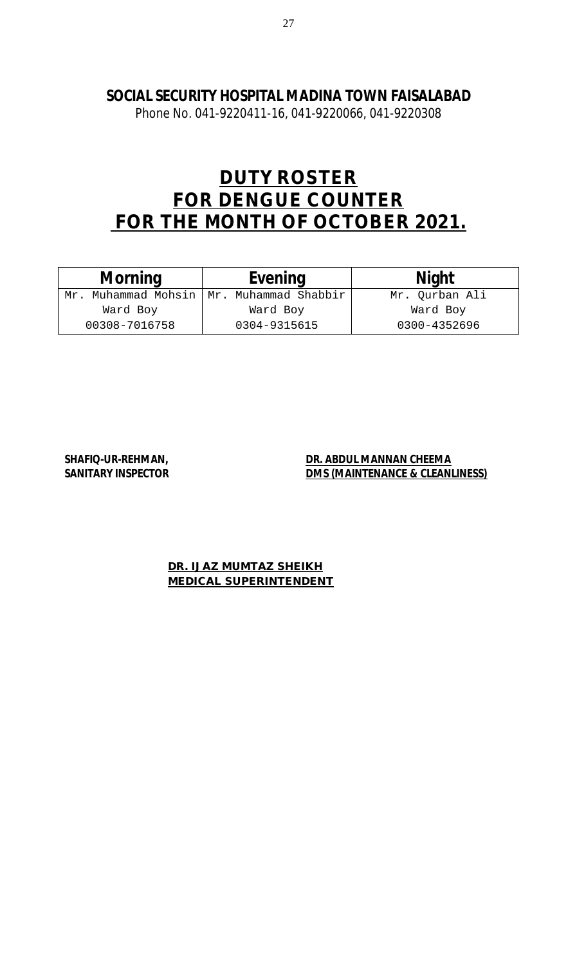Phone No. 041-9220411-16, 041-9220066, 041-9220308

# **DUTY ROSTER FOR DENGUE COUNTER FOR THE MONTH OF OCTOBER 2021.**

| <b>Morning</b> | <b>Evening</b>                         | <b>Night</b>   |
|----------------|----------------------------------------|----------------|
| Mr.            | Muhammad Mohsin   Mr. Muhammad Shabbir | Mr. Ourban Ali |
| Ward Boy       | Ward Boy                               | Ward Boy       |
| 00308-7016758  | 0304-9315615                           | 0300-4352696   |

### SHAFIQ-UR-REHMAN, **DR. ABDUL MANNAN CHEEMA SANITARY INSPECTOR DMS (MAINTENANCE & CLEANLINESS)**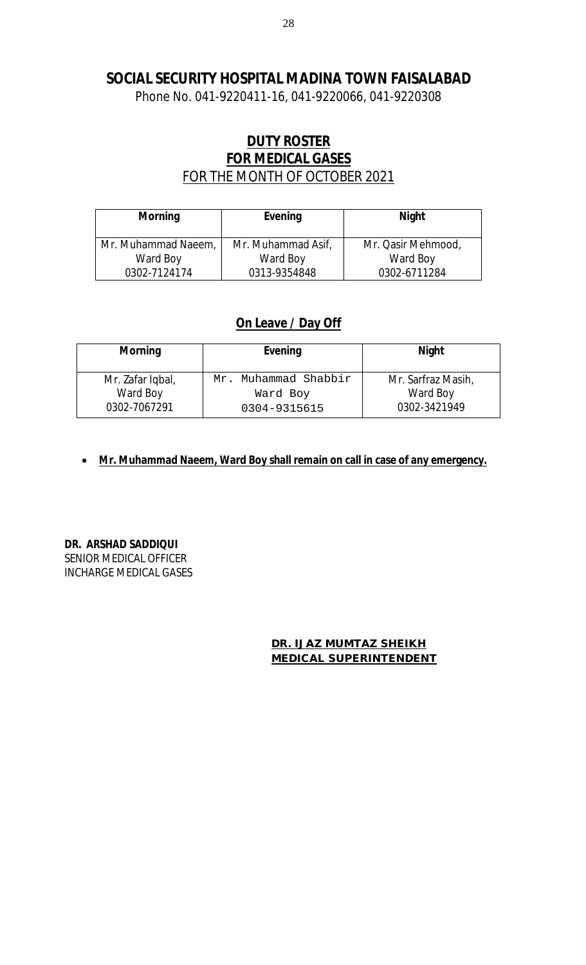Phone No. 041-9220411-16, 041-9220066, 041-9220308

# **DUTY ROSTER FOR MEDICAL GASES**  FOR THE MONTH OF OCTOBER 2021

| <b>Morning</b>      | Evening            | <b>Night</b>       |
|---------------------|--------------------|--------------------|
| Mr. Muhammad Naeem, | Mr. Muhammad Asif, | Mr. Qasir Mehmood, |
| Ward Boy            | Ward Boy           | Ward Boy           |
| 0302-7124174        | 0313-9354848       | 0302-6711284       |

### **On Leave / Day Off**

| <b>Morning</b>   | <b>Evening</b>       | <b>Night</b>       |
|------------------|----------------------|--------------------|
| Mr. Zafar Iqbal, | Mr. Muhammad Shabbir | Mr. Sarfraz Masih, |
| Ward Boy         | Ward Boy             | Ward Boy           |
| 0302-7067291     | 0304-9315615         | 0302-3421949       |

**Mr. Muhammad Naeem, Ward Boy shall remain on call in case of any emergency.** 

**DR. ARSHAD SADDIQUI**  SENIOR MEDICAL OFFICER INCHARGE MEDICAL GASES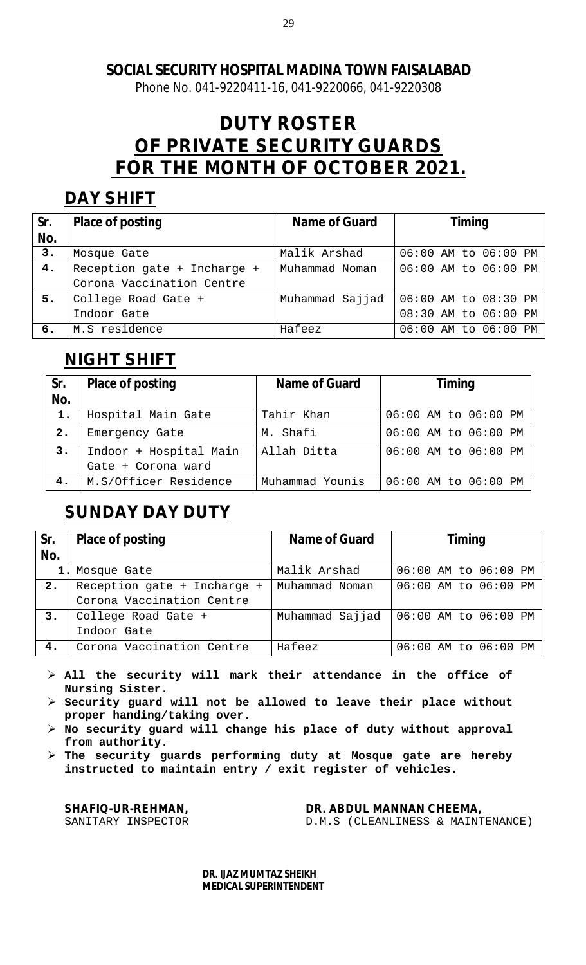Phone No. 041-9220411-16, 041-9220066, 041-9220308

# **DUTY ROSTER OF PRIVATE SECURITY GUARDS FOR THE MONTH OF OCTOBER 2021.**

# **DAY SHIFT**

| Sr. | <b>Place of posting</b>     | Name of Guard   | <b>Timing</b>             |
|-----|-----------------------------|-----------------|---------------------------|
| No. |                             |                 |                           |
| 3.  | Mosque Gate                 | Malik Arshad    | 06:00 AM to 06:00 PM      |
| 4.  | Reception gate + Incharge + | Muhammad Noman  | 06:00 AM to 06:00 PM      |
|     | Corona Vaccination Centre   |                 |                           |
| 5.  | College Road Gate +         | Muhammad Sajjad | $ 06:00$ AM to $08:30$ PM |
|     | Indoor Gate                 |                 | 08:30 AM to 06:00 PM      |
| б.  | M.S residence               | Hafeez          | 06:00 AM to 06:00 PM      |

# **NIGHT SHIFT**

| Sr.<br>No. | <b>Place of posting</b> | Name of Guard   | <b>Timing</b>        |
|------------|-------------------------|-----------------|----------------------|
| 1.         | Hospital Main Gate      | Tahir Khan      | 06:00 AM to 06:00 PM |
| 2.         | Emergency Gate          | M. Shafi        | 06:00 AM to 06:00 PM |
| 3.         | Indoor + Hospital Main  | Allah Ditta     | 06:00 AM to 06:00 PM |
|            | Gate + Corona ward      |                 |                      |
| 4.         | M.S/Officer Residence   | Muhammad Younis | 06:00 AM to 06:00 PM |

# **SUNDAY DAY DUTY**

| Sr. | <b>Place of posting</b>     | <b>Name of Guard</b> | <b>Timing</b>        |  |  |
|-----|-----------------------------|----------------------|----------------------|--|--|
| No. |                             |                      |                      |  |  |
|     | 1. Mosque Gate              | Malik Arshad         | 06:00 AM to 06:00 PM |  |  |
| 2.  | Reception gate + Incharge + | Muhammad Noman       | 06:00 AM to 06:00 PM |  |  |
|     | Corona Vaccination Centre   |                      |                      |  |  |
| 3.  | College Road Gate +         | Muhammad Sajjad      | 06:00 AM to 06:00 PM |  |  |
|     | Indoor Gate                 |                      |                      |  |  |
| 4.  | Corona Vaccination Centre   | Hafeez               | 06:00 AM to 06:00 PM |  |  |

- **All the security will mark their attendance in the office of Nursing Sister.**
- **Security guard will not be allowed to leave their place without proper handing/taking over.**
- **No security guard will change his place of duty without approval from authority.**
- **The security guards performing duty at Mosque gate are hereby instructed to maintain entry / exit register of vehicles.**

**SHAFIQ-UR-REHMAN, DR. ABDUL MANNAN CHEEMA,** 

D.M.S (CLEANLINESS & MAINTENANCE)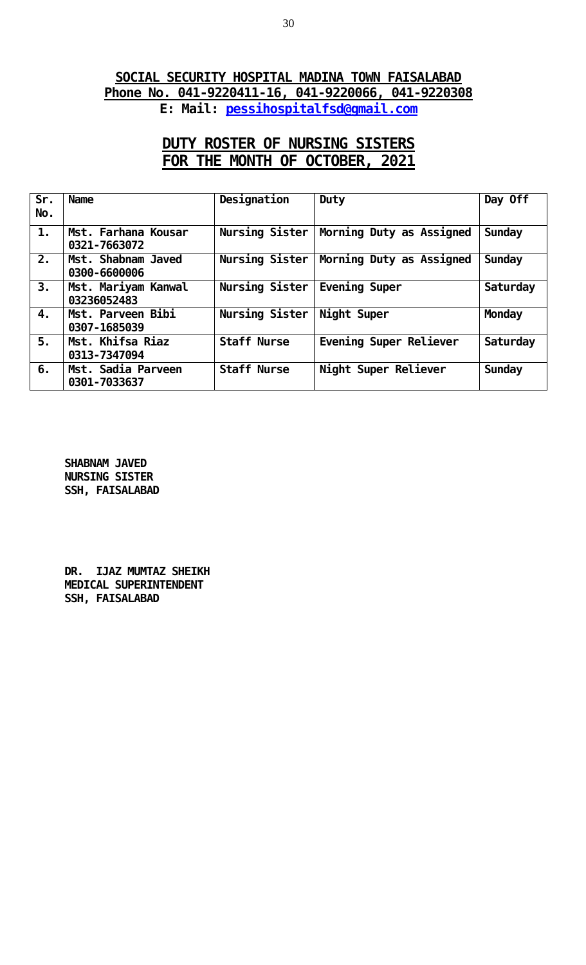## **SOCIAL SECURITY HOSPITAL MADINA TOWN FAISALABAD Phone No. 041-9220411-16, 041-9220066, 041-9220308 E: Mail: [pessihospitalfsd@gmail.com](mailto:pessihospitalfsd@gmail.com)**

# **DUTY ROSTER OF NURSING SISTERS FOR THE MONTH OF OCTOBER, 2021**

| Sr.<br>No.     | <b>Name</b>                         | Designation        | Duty                     | Day Off       |
|----------------|-------------------------------------|--------------------|--------------------------|---------------|
| $\mathbf{1}$ . | Mst. Farhana Kousar<br>0321-7663072 | Nursing Sister     | Morning Duty as Assigned | Sunday        |
| 2.             | Mst. Shabnam Javed<br>0300-6600006  | Nursing Sister     | Morning Duty as Assigned | <b>Sunday</b> |
| 3.             | Mst. Mariyam Kanwal<br>03236052483  | Nursing Sister     | Evening Super            | Saturday      |
| 4.             | Mst. Parveen Bibi<br>0307-1685039   | Nursing Sister     | Night Super              | Monday        |
| 5.             | Mst. Khifsa Riaz<br>0313-7347094    | <b>Staff Nurse</b> | Evening Super Reliever   | Saturday      |
| 6.             | Mst. Sadia Parveen<br>0301-7033637  | <b>Staff Nurse</b> | Night Super Reliever     | <b>Sunday</b> |

**SHABNAM JAVED NURSING SISTER SSH, FAISALABAD**

**DR. IJAZ MUMTAZ SHEIKH MEDICAL SUPERINTENDENT SSH, FAISALABAD**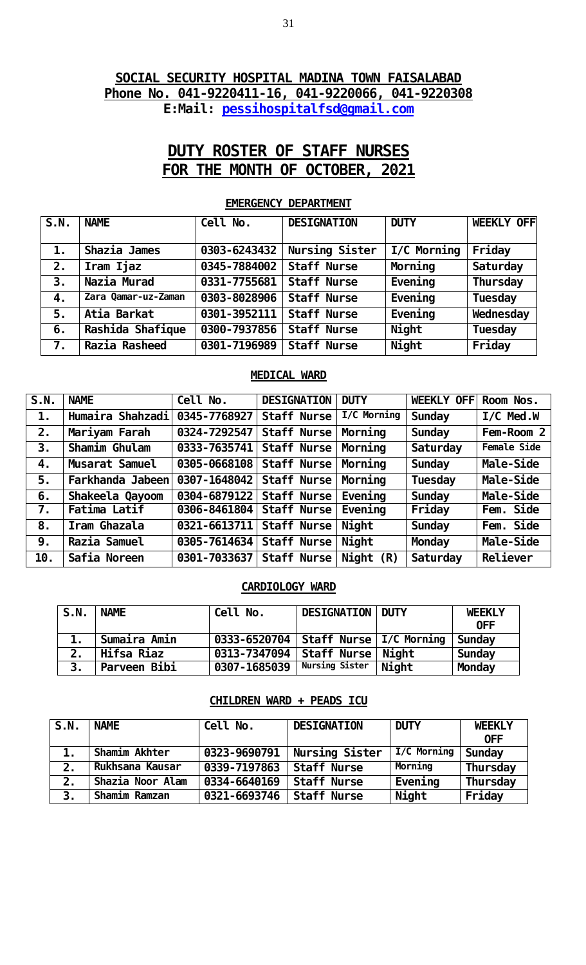### **SOCIAL SECURITY HOSPITAL MADINA TOWN FAISALABAD Phone No. 041-9220411-16, 041-9220066, 041-9220308 E:Mail: [pessihospitalfsd@gmail.com](mailto:pessihospitalfsd@gmail.com)**

# **DUTY ROSTER OF STAFF NURSES FOR THE MONTH OF OCTOBER, 2021**

| S.N.           | <b>NAME</b>         | Cell No.     | <b>DESIGNATION</b> | <b>DUTY</b> | <b>WEEKLY OFF</b> |
|----------------|---------------------|--------------|--------------------|-------------|-------------------|
|                |                     |              |                    |             |                   |
| $\mathbf{1}$ . | Shazia James        | 0303-6243432 | Nursing Sister     | I/C Morning | Fri day           |
| 2.             | Iram Ijaz           | 0345-7884002 | <b>Staff Nurse</b> | Morning     | Saturday          |
| 3.             | Nazia Murad         | 0331-7755681 | <b>Staff Nurse</b> | Eveni ng    | Thursday          |
| 4.             | Zara Qamar-uz-Zaman | 0303-8028906 | <b>Staff Nurse</b> | Eveni ng    | Tuesday           |
| 5.             | Atia Barkat         | 0301-3952111 | <b>Staff Nurse</b> | Eveni ng    | Wednesday         |
| 6.             | Rashi da Shafi que  | 0300-7937856 | <b>Staff Nurse</b> | Ni ght      | Tuesday           |
| 7.             | Razia Rasheed       | 0301-7196989 | <b>Staff Nurse</b> | Ni ght      | Fri day           |

#### **EMERGENCY DEPARTMENT**

#### **MEDICAL WARD**

| S.N. | <b>NAME</b>      | Cell No.                   | <b>DESIGNATION</b> | <b>DUTY</b>              | <b>WEEKLY OFFI</b> | Room Nos.    |
|------|------------------|----------------------------|--------------------|--------------------------|--------------------|--------------|
| 1.   | Humaira Shahzadi | 0345-7768927               | <b>Staff Nurse</b> | $\overline{1/C}$ Morning | <b>Sunday</b>      | $I/C$ Med. W |
| 2.   | Mariyam Farah    | 0324-7292547   Staff Nurse |                    | Morning                  | <b>Sunday</b>      | Fem-Room 2   |
| 3.   | Shamim Ghulam    | 0333-7635741 Staff Nurse   |                    | Morning                  | Saturday           | Female Side  |
| 4.   | Musarat Samuel   | 0305-0668108 Staff Nurse   |                    | Morning                  | Sunday             | Male-Side    |
| 5.   | Farkhanda Jabeen | 0307-1648042 Staff Nurse   |                    | Morning                  | Tuesday            | Male-Side    |
| 6.   | Shakeel a Qayoom | 0304-6879122 Staff Nurse   |                    | Eveni ng                 | Sunday             | Male-Side    |
| 7.   | Fatima Latif     | 0306-8461804 Staff Nurse   |                    | Eveni ng                 | Fri day            | Fem. Side    |
| 8.   | Iram Ghazala     | 0321-6613711 Staff Nurse   |                    | Ni ght                   | <b>Sunday</b>      | Fem. Side    |
| 9.   | Razia Samuel     | 0305-7614634 Staff Nurse   |                    | Ni ght                   | <b>Monday</b>      | Male-Side    |
| 10.  | Safia Noreen     | 0301-7033637 Staff Nurse   |                    | Night $(R)$              | Saturday           | Rel i ever   |

#### **CARDIOLOGY WARD**

| S.N. | <b>NAME</b>   | Cel I<br>No.                             | <b>DESIGNATION</b> | <b>DUTY</b> | <b>WEEKLY</b> |
|------|---------------|------------------------------------------|--------------------|-------------|---------------|
|      |               |                                          |                    |             | 0FF           |
|      | ⊢Sumaira Amin | 0333-6520704   Staff Nurse   I/C Morning |                    |             | <b>Sunday</b> |
| 2.   | Hifsa Riaz    | 0313-7347094   Staff Nurse   Night       |                    |             | <b>Sunday</b> |
| 3.   | Parveen Bibi  | 0307-1685039                             | Nursing Sister     | Ni ght      | Monday        |

### **CHILDREN WARD + PEADS ICU**

| S.N. | <b>NAME</b>      | Cell No.     | <b>DESIGNATION</b> | <b>DUTY</b> | <b>WEEKLY</b><br><b>OFF</b> |
|------|------------------|--------------|--------------------|-------------|-----------------------------|
|      | Shamim Akhter    | 0323-9690791 | Nursing Sister     | I/C Morning | Sunday                      |
| 2.   | Rukhsana Kausar  | 0339-7197863 | <b>Staff Nurse</b> | Morning     | Thursday                    |
| 2.   | Shazia Noor Alam | 0334-6640169 | <b>Staff Nurse</b> | Eveni ng    | <b>Thursday</b>             |
| 3.   | Shamim Ramzan    | 0321-6693746 | <b>Staff Nurse</b> | Ni ght      | Fri day                     |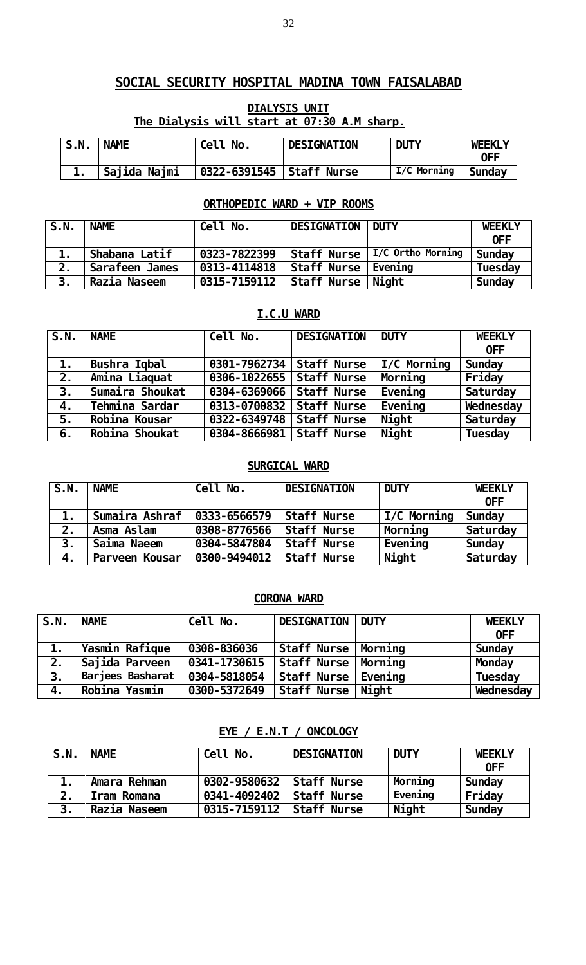# **DIALYSIS UNIT The Dialysis will start at 07:30 A.M sharp.**

| S.N. | <b>NAME</b>  | Cell No.                   | <b>DESIGNATION</b> | <b>DUTY</b> | <b>WEEKLY</b><br>0FF |
|------|--------------|----------------------------|--------------------|-------------|----------------------|
|      | Sajida Najmi | 0322-6391545   Staff Nurse |                    | I/C Morning | Sunday               |

### **ORTHOPEDIC WARD + VIP ROOMS**

| S.N. | <b>NAME</b>    | Cell No.     | <b>DESIGNATION DUTY</b> |                                 | <b>WEEKLY</b><br>0FF |
|------|----------------|--------------|-------------------------|---------------------------------|----------------------|
|      | Shabana Latif  | 0323-7822399 |                         | Staff Nurse   I/C Ortho Morning | Sunday               |
| 2.   | Sarafeen James | 0313-4114818 | Staff Nurse   Evening   |                                 | Tuesday              |
|      | Razia Naseem   | 0315-7159112 | Staff Nurse   Night     |                                 | Sunday               |

### **I.C.U WARD**

| $\overline{\mathsf{S}}$ . N. | <b>NAME</b>     | Cell No.                   | <b>DESIGNATION</b> | <b>DUTY</b>         | <b>WEEKLY</b> |
|------------------------------|-----------------|----------------------------|--------------------|---------------------|---------------|
|                              |                 |                            |                    |                     | <b>OFF</b>    |
| $\mathbf{1}$ .               | Bushra Iqbal    | 0301-7962734   Staff Nurse |                    | $\vert$ I/C Morning | <b>Sunday</b> |
| 2.                           | Amina Liaquat   | 0306-1022655   Staff Nurse |                    | Morning             | Fri day       |
| 3.                           | Sumaira Shoukat | 0304-6369066               | <b>Staff Nurse</b> | Eveni ng            | Saturday      |
| 4.                           | Tehmina Sardar  | 0313-0700832   Staff Nurse |                    | Eveni ng            | Wednesday     |
| 5.                           | Robina Kousar   | 0322-6349748               | Staff Nurse        | Ni ght              | Saturday      |
| 6.                           | Robina Shoukat  | 0304-8666981               | Staff Nurse        | Ni ght              | Tuesday       |

### **SURGICAL WARD**

| S.N.          | <b>NAME</b>    | Cell No.     | <b>DESIGNATION</b> | <b>DUTY</b> | <b>WEEKLY</b><br><b>OFF</b> |
|---------------|----------------|--------------|--------------------|-------------|-----------------------------|
| $\mathbf 1$ . | Sumaira Ashraf | 0333-6566579 | <b>Staff Nurse</b> | I/C Morning | Sunday                      |
| 2.            | Asma Aslam     | 0308-8776566 | <b>Staff Nurse</b> | Morning     | Saturday                    |
| 3.            | Saima Naeem    | 0304-5847804 | <b>Staff Nurse</b> | Eveni ng    | Sunday                      |
| 4.            | Parveen Kousar | 0300-9494012 | <b>Staff Nurse</b> | Ni ght      | Saturday                    |

### **CORONA WARD**

| S.N. | <b>NAME</b>      | Cell No.     | DESIGNATION DUTY      | <b>WEEKLY</b>  |
|------|------------------|--------------|-----------------------|----------------|
|      |                  |              |                       | <b>OFF</b>     |
|      | Yasmin Rafique   | 0308-836036  | Staff Nurse   Morning | Sunday         |
| 2.   | Sajida Parveen   | 0341-1730615 | Staff Nurse   Morning | <b>Monday</b>  |
| 3.   | Barjees Basharat | 0304-5818054 | Staff Nurse   Evening | <b>Tuesday</b> |
| 4.   | Robina Yasmin    | 0300-5372649 | Staff Nurse   Night   | Wednesday      |

### **EYE / E.N.T / ONCOLOGY**

| S.N. | <b>NAME</b>        | Cell No.                     | <b>DESIGNATION</b> | <b>DUTY</b> | <b>WEEKLY</b><br>0FF |
|------|--------------------|------------------------------|--------------------|-------------|----------------------|
| 1.   | Amara Rehman       | $0302 - 9580632$ Staff Nurse |                    | Morning     | Sunday               |
| 2.   | <b>Iram Romana</b> | 0341-4092402 Staff Nurse     |                    | Eveni ng    | Friday               |
| 3.   | Razia Naseem       | 0315-7159112 Staff Nurse     |                    | Ni ght      | Sunday               |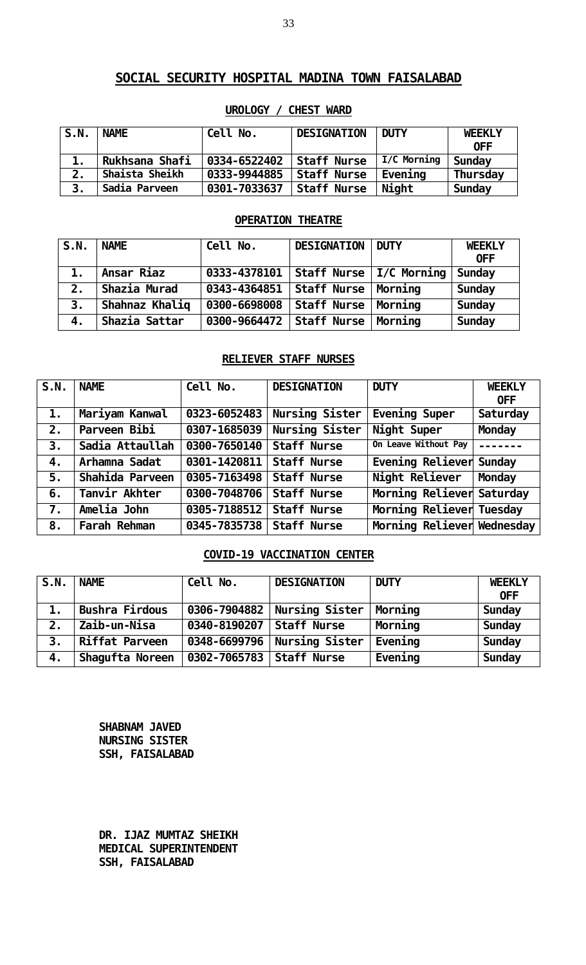| S.N. | <b>NAME</b>    | Cell No.     | <b>DESIGNATION</b> | <b>DUTY</b> | <b>WEEKLY</b><br>0FF |
|------|----------------|--------------|--------------------|-------------|----------------------|
| 1.   | Rukhsana Shafi | 0334-6522402 | <b>Staff Nurse</b> | I/C Morning | <b>Sunday</b>        |
| 2.   | Shaista Sheikh | 0333-9944885 | <b>Staff Nurse</b> | Eveni ng    | <b>Thursday</b>      |
| 3.   | Sadia Parveen  | 0301-7033637 | <b>Staff Nurse</b> | Ni ght      | <b>Sunday</b>        |

### **UROLOGY / CHEST WARD**

### **OPERATION THEATRE**

| S.N. | <b>NAME</b>    | Cell No.                               | <b>DESIGNATION</b>        | <b>DUTY</b> | <b>WEEKLY</b><br><b>OFF</b> |
|------|----------------|----------------------------------------|---------------------------|-------------|-----------------------------|
| 1.   | Ansar Riaz     | 0333-4378101                           | Staff Nurse   I/C Morning |             | Sunday                      |
| 2.   | Shazia Murad   | 0343-4364851                           | Staff Nurse   Morning     |             | Sunday                      |
| 3.   | Shahnaz Khaliq | 0300-6698008                           | Staff Nurse               | Morning     | <b>Sunday</b>               |
| 4.   | Shazia Sattar  | $0300 - 9664472$ Staff Nurse   Morning |                           |             | <b>Sunday</b>               |

### **RELIEVER STAFF NURSES**

| S.N.           | <b>NAME</b>         | Cell No.     | <b>DESIGNATION</b> | <b>DUTY</b>                | <b>WEEKLY</b> |
|----------------|---------------------|--------------|--------------------|----------------------------|---------------|
|                |                     |              |                    |                            | <b>OFF</b>    |
| $\mathbf{1}$ . | Mariyam Kanwal      | 0323-6052483 | Nursing Sister     | Evening Super              | Saturday      |
| 2.             | Parveen Bibi        | 0307-1685039 | Nursing Sister     | Night Super                | <b>Monday</b> |
| 3.             | Sadia Attaullah     | 0300-7650140 | <b>Staff Nurse</b> | On Leave Without Pay       | $\frac{1}{2}$ |
| 4.             | Arhamna Sadat       | 0301-1420811 | <b>Staff Nurse</b> | Evening Reliever Sunday    |               |
| 5.             | Shahi da Parveen    | 0305-7163498 | <b>Staff Nurse</b> | Night Reliever             | <b>Monday</b> |
| 6.             | Tanvir Akhter       | 0300-7048706 | <b>Staff Nurse</b> | Morning Reliever Saturday  |               |
| 7.             | Amelia John         | 0305-7188512 | <b>Staff Nurse</b> | Morning Reliever Tuesday   |               |
| 8.             | <b>Farah Rehman</b> | 0345-7835738 | <b>Staff Nurse</b> | Morning Reliever Wednesday |               |

### **COVID-19 VACCINATION CENTER**

| S.N. | <b>NAME</b>           | Cel I<br>No. | <b>DESIGNATION</b> | <b>DUTY</b> | <b>WEEKLY</b><br><b>OFF</b> |
|------|-----------------------|--------------|--------------------|-------------|-----------------------------|
| 1.   | <b>Bushra Firdous</b> | 0306-7904882 | Nursing Sister     | Morning     | <b>Sunday</b>               |
| 2.   | Zai b-un-Ni sa        | 0340-8190207 | <b>Staff Nurse</b> | Morning     | <b>Sunday</b>               |
| 3.   | <b>Riffat Parveen</b> | 0348-6699796 | Nursing Sister     | Eveni ng    | <b>Sunday</b>               |
| 4.   | Shagufta Noreen       | 0302-7065783 | Staff Nurse        | Eveni ng    | <b>Sunday</b>               |

**SHABNAM JAVED NURSING SISTER SSH, FAISALABAD**

**DR. IJAZ MUMTAZ SHEIKH MEDICAL SUPERINTENDENT SSH, FAISALABAD**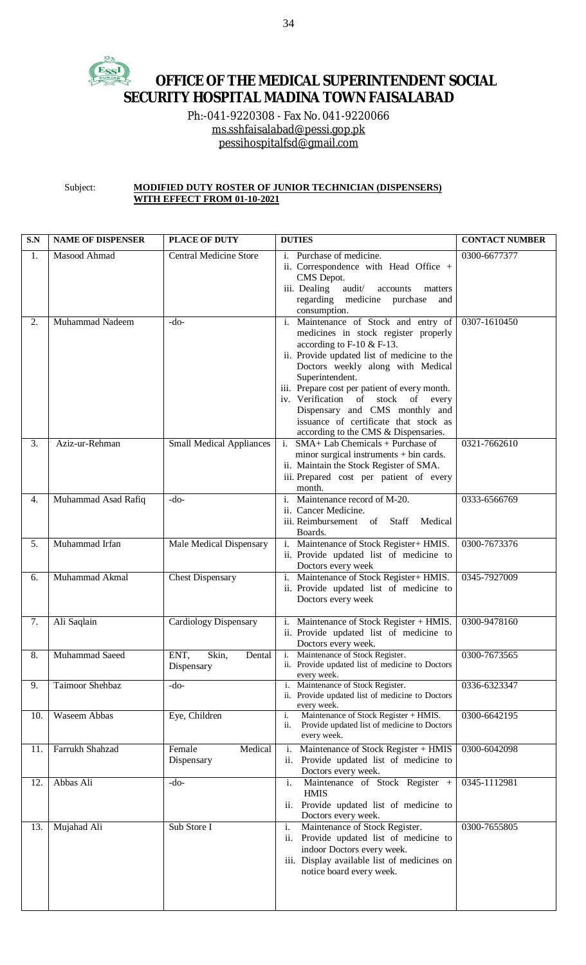#### 玲 EssI **OFFICE OF THE MEDICAL SUPERINTENDENT SOCIAL SECURITY HOSPITAL MADINA TOWN FAISALABAD**

Ph:-041-9220308 - Fax No. 041-9220066 [ms.sshfaisalabad@pessi.gop.pk](mailto:ms.sshfaisalabad@pessi.gop.pk) [pessihospitalfsd@gmail.com](mailto:pessihospitalfsd@gmail.com)

Subject: **MODIFIED DUTY ROSTER OF JUNIOR TECHNICIAN (DISPENSERS) WITH EFFECT FROM 01-10-2021**

| S.N | <b>NAME OF DISPENSER</b> | <b>PLACE OF DUTY</b>                             | <b>DUTIES</b>                                                                                                                                                                                                                                                                                                                                                                                                                 | <b>CONTACT NUMBER</b> |
|-----|--------------------------|--------------------------------------------------|-------------------------------------------------------------------------------------------------------------------------------------------------------------------------------------------------------------------------------------------------------------------------------------------------------------------------------------------------------------------------------------------------------------------------------|-----------------------|
| 1.  | Masood Ahmad             | Central Medicine Store                           | Purchase of medicine.<br>$\mathbf{i}$ .<br>ii. Correspondence with Head Office +<br>CMS Depot.<br>iii. Dealing<br>audit/<br>accounts<br>matters<br>regarding medicine purchase<br>and<br>consumption.                                                                                                                                                                                                                         | 0300-6677377          |
| 2.  | Muhammad Nadeem          | $-do-$                                           | i. Maintenance of Stock and entry of<br>medicines in stock register properly<br>according to $F-10 & F-13$ .<br>ii. Provide updated list of medicine to the<br>Doctors weekly along with Medical<br>Superintendent.<br>iii. Prepare cost per patient of every month.<br>iv. Verification of stock of every<br>Dispensary and CMS monthly and<br>issuance of certificate that stock as<br>according to the CMS & Dispensaries. | 0307-1610450          |
| 3.  | Aziz-ur-Rehman           | <b>Small Medical Appliances</b>                  | $i.$ SMA+ Lab Chemicals + Purchase of<br>minor surgical instruments $+$ bin cards.<br>ii. Maintain the Stock Register of SMA.<br>iii. Prepared cost per patient of every<br>month.                                                                                                                                                                                                                                            | 0321-7662610          |
| 4.  | Muhammad Asad Rafiq      | $-do-$                                           | i. Maintenance record of M-20.<br>ii. Cancer Medicine.<br>iii. Reimbursement of Staff<br>Medical<br>Boards.                                                                                                                                                                                                                                                                                                                   | 0333-6566769          |
| 5.  | Muhammad Irfan           | Male Medical Dispensary                          | i. Maintenance of Stock Register+ HMIS.<br>ii. Provide updated list of medicine to<br>Doctors every week                                                                                                                                                                                                                                                                                                                      | 0300-7673376          |
| 6.  | Muhammad Akmal           | <b>Chest Dispensary</b>                          | i. Maintenance of Stock Register+ HMIS.<br>ii. Provide updated list of medicine to<br>Doctors every week                                                                                                                                                                                                                                                                                                                      | 0345-7927009          |
| 7.  | Ali Saqlain              | <b>Cardiology Dispensary</b>                     | i. Maintenance of Stock Register + HMIS.<br>ii. Provide updated list of medicine to<br>Doctors every week.                                                                                                                                                                                                                                                                                                                    | 0300-9478160          |
| 8.  | Muhammad Saeed           | ENT,<br>Skin,<br>Dental $\vert$ i.<br>Dispensary | Maintenance of Stock Register.<br>ii. Provide updated list of medicine to Doctors<br>every week.                                                                                                                                                                                                                                                                                                                              | 0300-7673565          |
| 9.  | Taimoor Shehbaz          | $-do-$                                           | i. Maintenance of Stock Register.<br>ii. Provide updated list of medicine to Doctors<br>every week.                                                                                                                                                                                                                                                                                                                           | 0336-6323347          |
| 10. | Waseem Abbas             | Eye, Children                                    | Maintenance of Stock Register + HMIS.<br>i.<br>Provide updated list of medicine to Doctors<br>ii.<br>every week.                                                                                                                                                                                                                                                                                                              | 0300-6642195          |
| 11. | Farrukh Shahzad          | Medical<br>Female<br>Dispensary                  | Maintenance of Stock Register + HMIS<br>i.<br>Provide updated list of medicine to<br>ii.<br>Doctors every week.                                                                                                                                                                                                                                                                                                               | 0300-6042098          |
| 12. | Abbas Ali                | $-do-$                                           | Maintenance of Stock Register +<br>i.<br><b>HMIS</b><br>ii. Provide updated list of medicine to<br>Doctors every week.                                                                                                                                                                                                                                                                                                        | 0345-1112981          |
| 13. | Mujahad Ali              | Sub Store I                                      | Maintenance of Stock Register.<br>i.<br>Provide updated list of medicine to<br>ii.<br>indoor Doctors every week.<br>iii. Display available list of medicines on<br>notice board every week.                                                                                                                                                                                                                                   | 0300-7655805          |